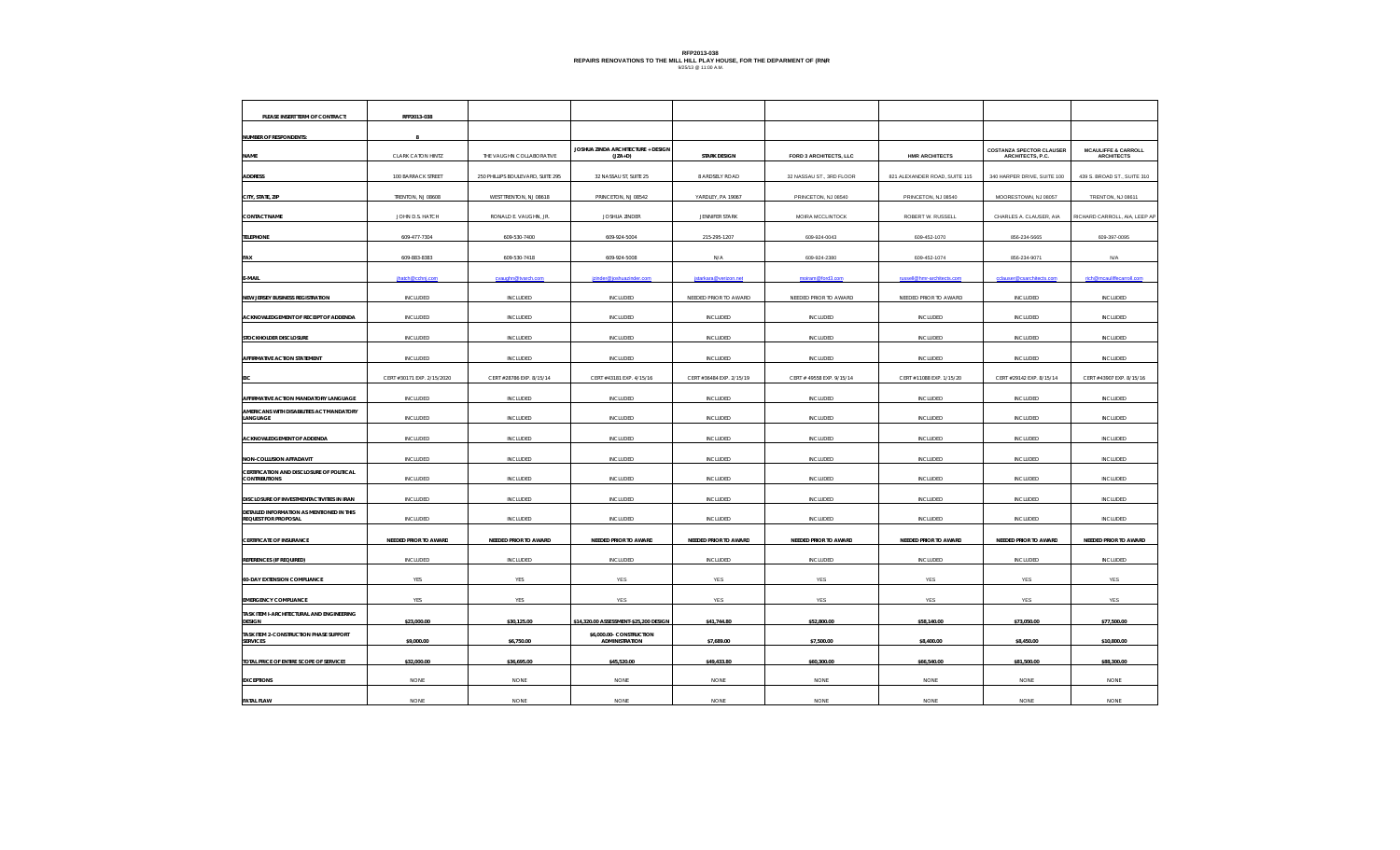## RFP2013-038<br>REPAIRS RENOVATIONS TO THE MILL HILL PLAY HOUSE, FOR THE DEPARMENT OF (RNR<br><sup>9/25/13</sup> <sup>@ 11:00 A.M.</sup>

| PLEASE INSERT TERM OF CONTRACT:                                          | RFP2013-038                |                                   |                                                 |                          |                           |                               |                                                     |                                                     |
|--------------------------------------------------------------------------|----------------------------|-----------------------------------|-------------------------------------------------|--------------------------|---------------------------|-------------------------------|-----------------------------------------------------|-----------------------------------------------------|
| NUMBER OF RESPONDENTS:                                                   |                            |                                   |                                                 |                          |                           |                               |                                                     |                                                     |
| <b>NAME</b>                                                              | CLARK CATON HINTZ          | THE VAUGHN COLLABORATIVE          | JOSHUA ZINDA ARCHITECTURE + DESIGN<br>$(JZA+D)$ | <b>STARK DESIGN</b>      | FORD 3 ARCHITECTS, LLC    | <b>HMR ARCHITECTS</b>         | <b>COSTANZA SPECTOR CLAUSER</b><br>ARCHITECTS, P.C. | <b>MCAULIFFE &amp; CARROLL</b><br><b>ARCHITECTS</b> |
| <b>ADDRESS</b>                                                           | 100 BARRACK STREET         | 250 PHILLIPS BOULEVARD, SUITE 295 | 32 NASSAU ST, SUITE 25                          | 8 ARDSELY ROAD           | 32 NASSAU ST., 3RD FLOOR  | 821 ALEXANDER ROAD, SUITE 115 | 340 HARPER DRIVE, SUITE 100                         | 439 S. BROAD ST., SUITE 310                         |
| CITY, STATE, ZIP                                                         | TRENTON, NJ 08608          | WEST TRENTON, NJ 08618            | PRINCETON, NJ 08542                             | YARDLEY, PA 19067        | PRINCETON, NJ 08540       | PRINCETON, NJ 08540           | MOORESTOWN, NJ 08057                                | TRENTON, NJ 08611                                   |
| <b>CONTACT NAME</b>                                                      | JOHN D.S. HATCH            | RONALD E. VAUGHN, JR.             | JOSHUA ZINDER                                   | <b>JENNIFER STARK</b>    | MOIRA MCCLINTOCK          | ROBERT W. RUSSELL             | CHARLES A. CLAUSER, AIA                             | RICHARD CARROLL, AIA, LEEP AP                       |
| <b>TELEPHONE</b>                                                         | 609-477-7304               | 609-530-7400                      | 609-924-5004                                    | 215-295-1207             | 609-924-0043              | 609-452-1070                  | 856-234-5665                                        | 609-397-0095                                        |
| <b>FAX</b>                                                               | 609-883-8383               | 609-530-7418                      | 609-924-5008                                    | N/A                      | 609-924-2380              | 609-452-1074                  | 856-234-9071                                        | N/A                                                 |
| E-MAIL                                                                   | ihatch@cchni.com           | cyaughn@tyarch.com                | izinder@ioshuazinder.con                        | istarkara@verizon.net    | moiram@ford3.com          | russell@hmr-architects.com    | cclauser@csarchitects.cor                           | rich@mcauliffecarroll.com                           |
| NEW JERSEY BUSINESS REGISTRATION                                         | INCLUDED                   | INCLUDED                          | INCLUDED                                        | NEEDED PRIOR TO AWARD    | NEEDED PRIOR TO AWARD     | NEEDED PRIOR TO AWARD         | INCLUDED                                            | INCLUDED                                            |
| ACKNOWLEDGEMENT OF RECEIPT OF ADDENDA                                    | INCLUDED                   | <b>INCLUDED</b>                   | INCLUDED                                        | INCLUDED                 | INCLUDED                  | <b>INCLUDED</b>               | <b>INCLUDED</b>                                     | <b>INCLUDED</b>                                     |
| STOCKHOLDER DISCLOSURE                                                   | INCLUDED                   | <b>INCLUDED</b>                   | INCLUDED                                        | INCLUDED                 | INCLUDED                  | <b>INCLUDED</b>               | <b>INCLUDED</b>                                     | <b>INCLUDED</b>                                     |
| AFFIRMATIVE ACTION STATEMENT                                             | INCLUDED                   | <b>INCLUDED</b>                   | INCLUDED                                        | <b>INCLUDED</b>          | <b>INCLUDED</b>           | <b>INCLUDED</b>               | <b>INCLUDED</b>                                     | <b>INCLUDED</b>                                     |
| FIC:                                                                     | CERT #30171 EXP. 2/15/2020 | CERT #28786 EXP. 8/15/14          | CERT #43181 EXP. 4/15/16                        | CERT #36484 EXP. 2/15/19 | CERT # 49558 EXP. 9/15/14 | CERT #11088 EXP. 1/15/20      | CERT #29142 EXP. 8/15/14                            | CERT #43907 EXP. 8/15/16                            |
| AFFIRMATIVE ACTION MANDATORY LANGUAGE                                    | INCLUDED                   | INCLUDED                          | INCLUDED                                        | INCLUDED                 | INCLUDED                  | INCLUDED                      | <b>INCLUDED</b>                                     | INCLUDED                                            |
| AMERICANS WITH DISABILITIES ACT MANDATORY<br>LANGUAGE                    | INCLUDED                   | INCLUDED                          | INCLUDED                                        | INCLUDED                 | INCLUDED                  | INCLUDED                      | INCLUDED                                            | <b>INCLUDED</b>                                     |
| ACKNOWLEDGEMENT OF ADDENDA                                               | INCLUDED                   | INCLUDED                          | INCLUDED                                        | INCLUDED                 | INCLUDED                  | <b>INCLUDED</b>               | <b>INCLUDED</b>                                     | <b>INCLUDED</b>                                     |
| <b>NON-COLLUSION AFFADAVIT</b>                                           | <b>INCLUDED</b>            | <b>INCLUDED</b>                   | <b>INCLUDED</b>                                 | <b>INCLUDED</b>          | <b>INCLUDED</b>           | <b>INCLUDED</b>               | <b>INCLUDED</b>                                     | <b>INCLUDED</b>                                     |
| CERTIFICATION AND DISCLOSURE OF POLITICAL<br><b>CONTRIBUTIONS</b>        | <b>INCLUDED</b>            | <b>INCLUDED</b>                   | <b>INCLUDED</b>                                 | INCLUDED                 | <b>INCLUDED</b>           | <b>INCLUDED</b>               | <b>INCLUDED</b>                                     | <b>INCLUDED</b>                                     |
| DISCLOSURE OF INVESTMENTACTIVITIES IN IRAN                               | INCLUDED                   | <b>INCLUDED</b>                   | INCLUDED                                        | <b>INCLUDED</b>          | <b>INCLUDED</b>           | <b>INCLUDED</b>               | <b>INCLUDED</b>                                     | <b>INCLUDED</b>                                     |
| DETAILED INFORMATION AS MENTIONED IN THIS<br><b>REQUEST FOR PROPOSAL</b> | INCLUDED                   | <b>INCLUDED</b>                   | INCLUDED                                        | <b>INCLUDED</b>          | <b>INCLUDED</b>           | <b>INCLUDED</b>               | <b>INCLUDED</b>                                     | <b>INCLUDED</b>                                     |
| <b>CERTIFICATE OF INSURANCE</b>                                          | NEEDED PRIOR TO AWARD      | NEEDED PRIOR TO AWARD             | NEEDED PRIOR TO AWARD                           | NEEDED PRIOR TO AWARD    | NEEDED PRIOR TO AWARD     | NEEDED PRIOR TO AWARD         | NEEDED PRIOR TO AWARD                               | NEEDED PRIOR TO AWARD                               |
| REFERENCES (IF REQUIRED)                                                 | INCLUDED                   | <b>INCLUDED</b>                   | INCLUDED                                        | INCLUDED                 | INCLUDED                  | INCLUDED                      | <b>INCLUDED</b>                                     | <b>INCLUDED</b>                                     |
| <b>60-DAY EXTENSION COMPLIANCE</b>                                       | YES                        | YES                               | YES                                             | YES                      | YES                       | YES                           | YES                                                 | YES                                                 |
| <b>EMERGENCY COMPLIANCE</b>                                              | YES                        | YES                               | YES                                             | YES                      | YES                       | YES                           | YES                                                 | YES                                                 |
| TASK ITEM I-ARCHITECTURAL AND ENGINEERING<br><b>DESIGN</b>               | \$23,000.00                | \$30,125.00                       | \$14,320.00 ASSESSMENT-\$25,200 DESIGN          | \$41,744.80              | \$52,800.00               | \$58,140.00                   | \$73,050.00                                         | \$77,500.00                                         |
| TASK ITEM 2-CONSTRUCTION PHASE SUPPORT<br><b>SERVICES</b>                | \$9,000.00                 | \$6,750.00                        | \$6,000.00- CONSTRUCTION<br>ADMINISTRATION      | \$7,689.00               | \$7,500.00                | \$8,400.00                    | \$8,450.00                                          | \$10,800.00                                         |
| TOTAL PRICE OF ENTIRE SCOPE OF SERVICES                                  | \$32,000.00                | \$36,695.00                       | \$45,520.00                                     | \$49,433.80              | \$60,300.00               | \$66,540.00                   | \$81,500.00                                         | \$88,300.00                                         |
| <b>EXCEPTIONS</b>                                                        | NONE                       | NONE                              | <b>NONE</b>                                     | <b>NONE</b>              | <b>NONE</b>               | NONE                          | NONE                                                | NONE                                                |
| <b>FATAL FLAW</b>                                                        | <b>NONE</b>                | <b>NONE</b>                       | <b>NONE</b>                                     | <b>NONE</b>              | <b>NONE</b>               | <b>NONE</b>                   | <b>NONE</b>                                         | <b>NONE</b>                                         |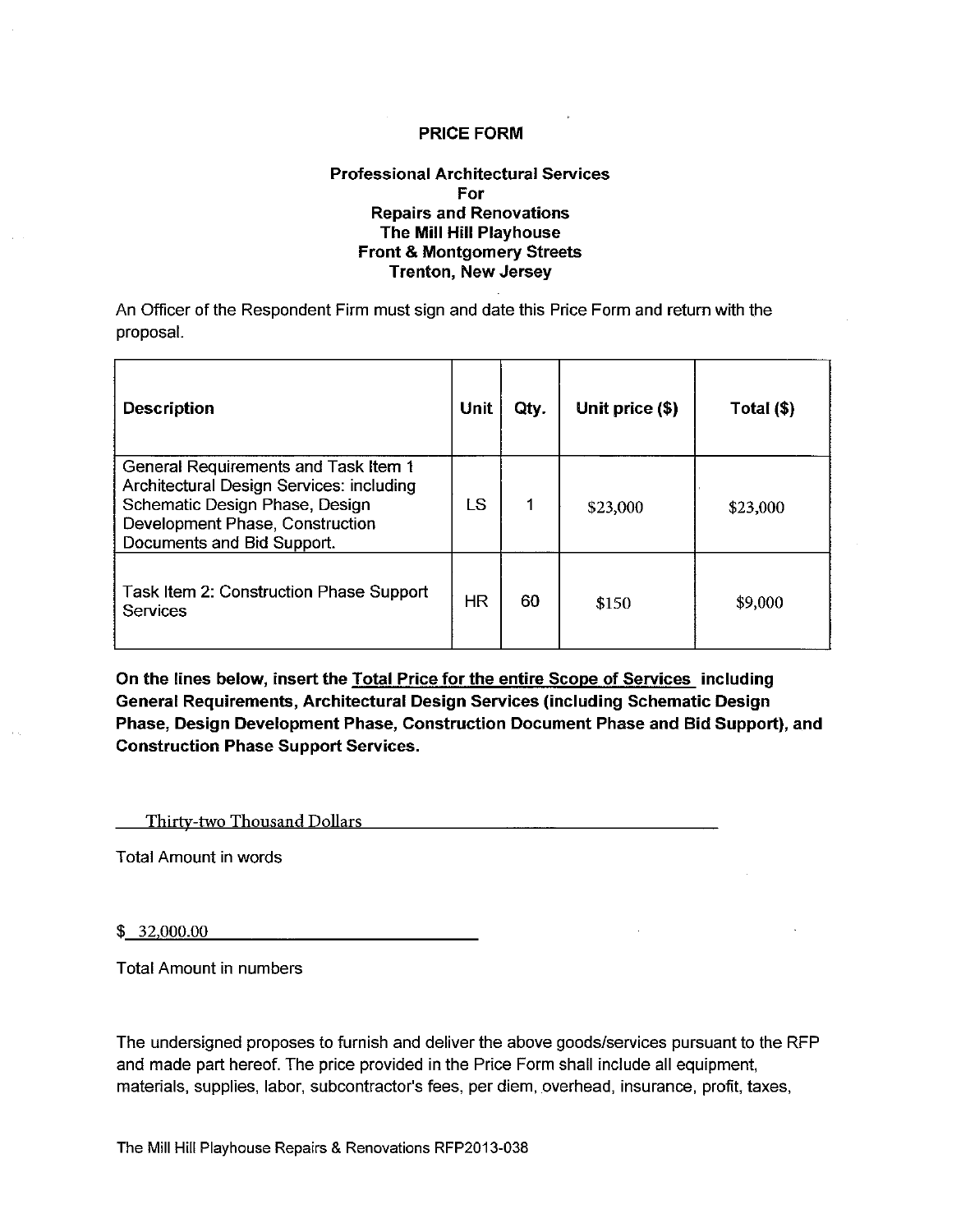#### **Professional Architectural Services** For **Repairs and Renovations** The Mill Hill Playhouse **Front & Montgomery Streets Trenton, New Jersey**

An Officer of the Respondent Firm must sign and date this Price Form and return with the proposal.

| <b>Description</b>                                                                                                                                                                  | Unit      | Qty. | Unit price (\$) | Total (\$) |
|-------------------------------------------------------------------------------------------------------------------------------------------------------------------------------------|-----------|------|-----------------|------------|
| General Requirements and Task Item 1<br>Architectural Design Services: including<br>Schematic Design Phase, Design<br>Development Phase, Construction<br>Documents and Bid Support. | l S       |      | \$23,000        | \$23,000   |
| Task Item 2: Construction Phase Support<br>Services                                                                                                                                 | <b>HR</b> | 60   | \$150           | \$9,000    |

On the lines below, insert the Total Price for the entire Scope of Services including General Requirements, Architectural Design Services (including Schematic Design Phase, Design Development Phase, Construction Document Phase and Bid Support), and **Construction Phase Support Services.** 

Thirty-two Thousand Dollars **Thirty-two** Thousand Dollars

**Total Amount in words** 

 $$32,000.00$ 

**Total Amount in numbers** 

The undersigned proposes to furnish and deliver the above goods/services pursuant to the RFP and made part hereof. The price provided in the Price Form shall include all equipment, materials, supplies, labor, subcontractor's fees, per diem, overhead, insurance, profit, taxes,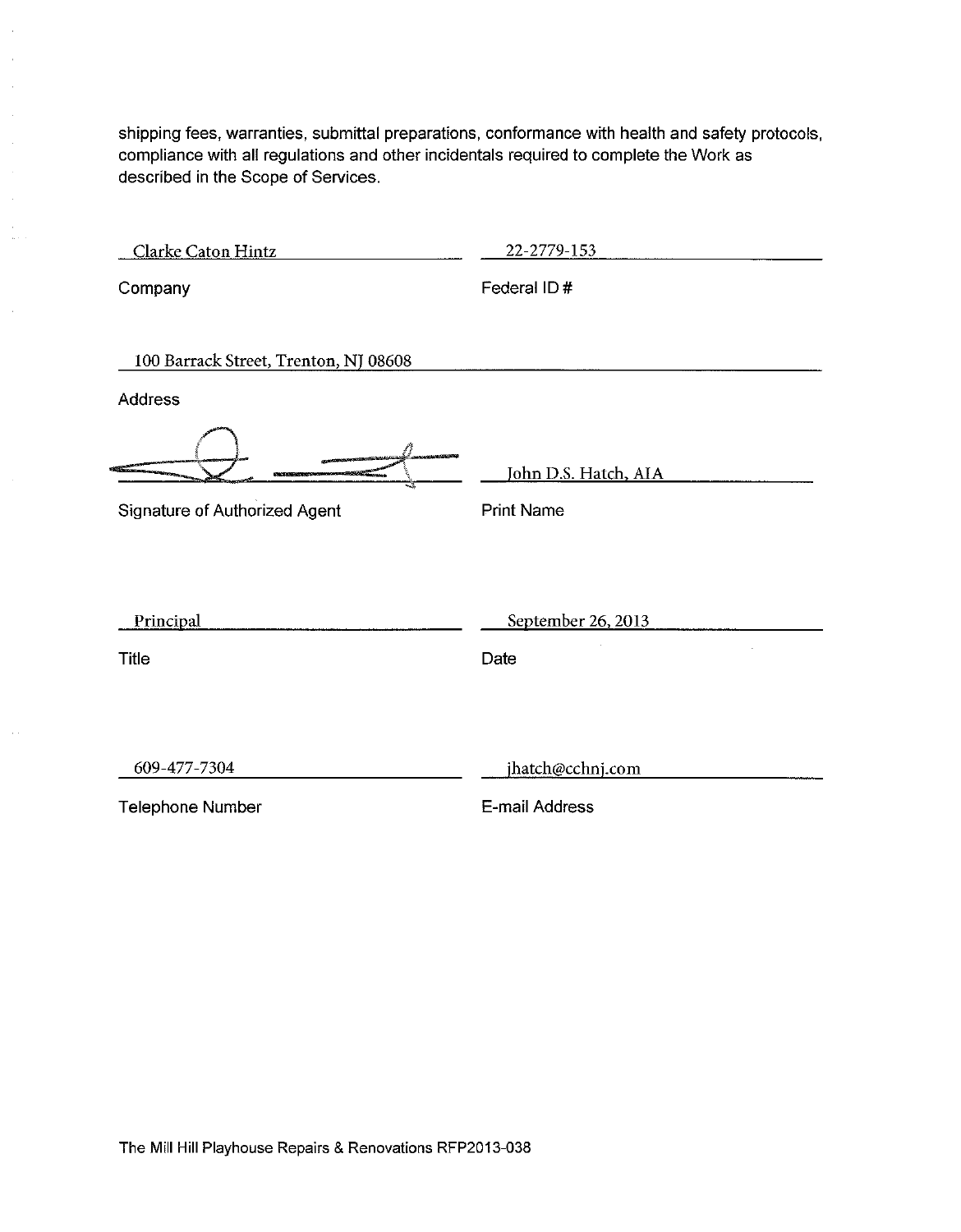shipping fees, warranties, submittal preparations, conformance with health and safety protocols, compliance with all regulations and other incidentals required to complete the Work as described in the Scope of Services.

 $\mathbb{R}^2$  $\bar{\gamma}$  $\hat{\beta}$  $\hat{\mathcal{A}}$ 

 $\hat{\mathcal{A}}$  $\bar{a}$  $\sim$  .

 $\bar{\alpha}$ 

 $\sim$ 

| Clarke Caton Hintz                                      | 22-2779-153                               |
|---------------------------------------------------------|-------------------------------------------|
| Company                                                 | Federal ID#                               |
| 100 Barrack Street, Trenton, NJ 08608<br><b>Address</b> |                                           |
| Signature of Authorized Agent                           | John D.S. Hatch, AIA<br><b>Print Name</b> |
| Principal                                               | September 26, 2013                        |
| <b>Title</b>                                            | Date                                      |
|                                                         |                                           |
| 609-477-7304                                            | jhatch@cchnj.com                          |
| <b>Telephone Number</b>                                 | E-mail Address                            |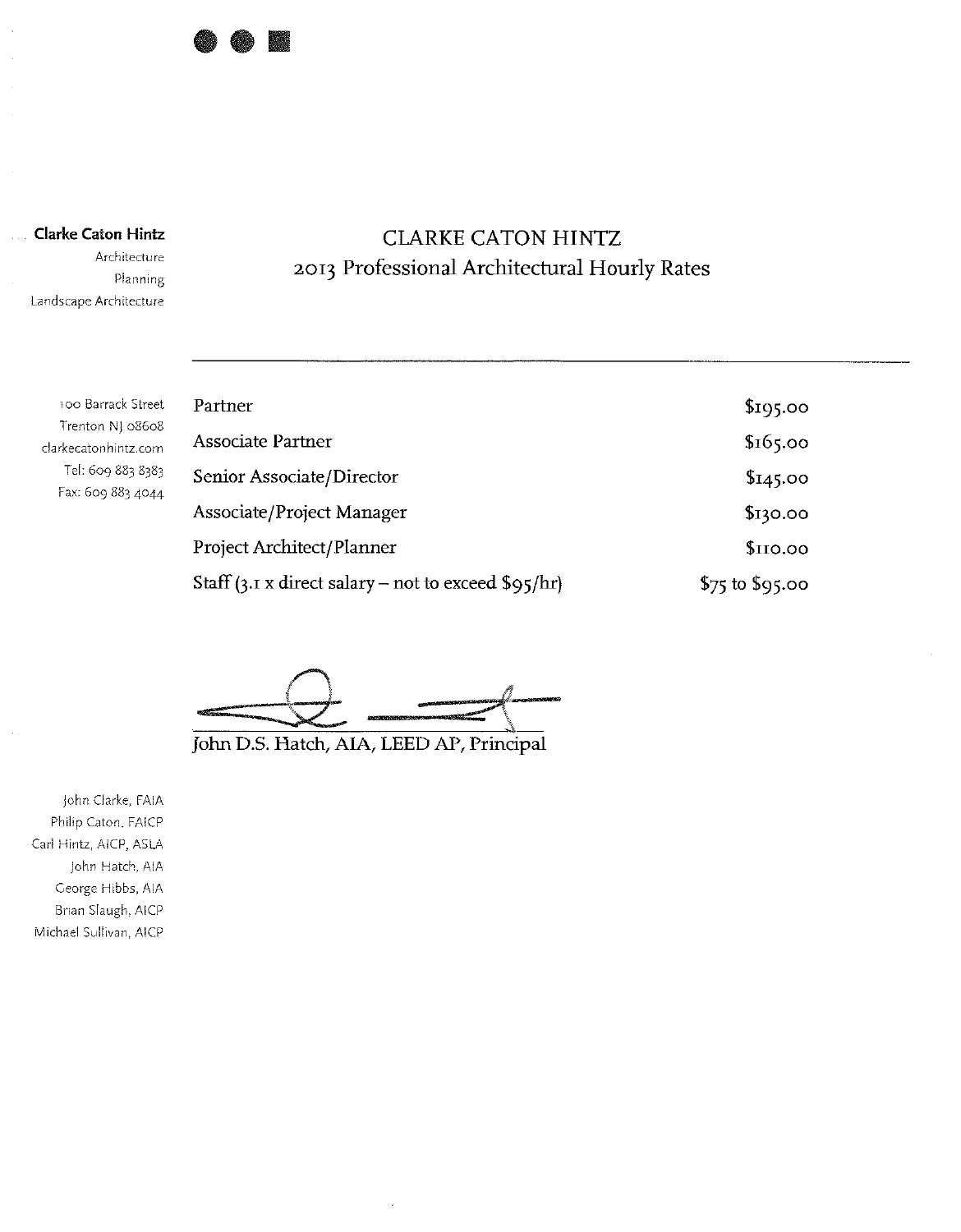

**Clarke Caton Hintz** 

Architecture Planning Landscape Architecture

## **CLARKE CATON HINTZ** 2013 Professional Architectural Hourly Rates

100 Barrack Street Trenton NJ 08608 clarkecatonhintz.com Tel: 609 883 8383 Fax: 609 883 4044

| Partner                                                     | \$195.00          |
|-------------------------------------------------------------|-------------------|
| <b>Associate Partner</b>                                    | \$165.00          |
| Senior Associate/Director                                   | \$145.00          |
| Associate/Project Manager                                   | \$130.00          |
| Project Architect/Planner                                   | \$IIO.00          |
| Staff (3.1 x direct salary – not to exceed $\sqrt{95/hr}$ ) | $$75$ to $$95.00$ |

John D.S. Hatch, AIA, LEED AP, Principal

John Clarke, FAIA Philip Caton, FAICP Carl Hintz, AICP, ASLA John Hatch, AIA George Hibbs, AIA Brian Slaugh, AICP Michael Sullivan, AICP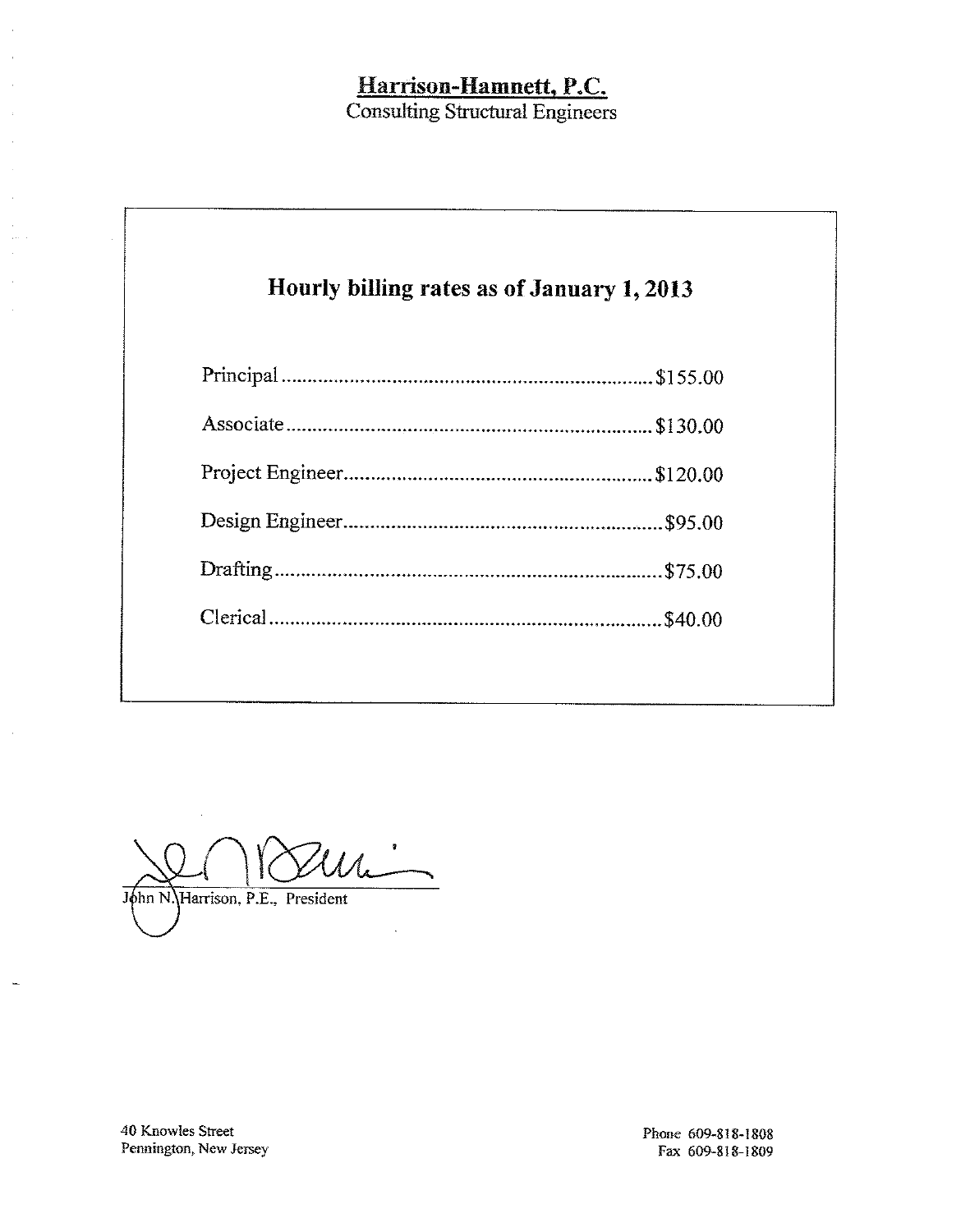## Harrison-Hamnett, P.C.<br>Consulting Structural Engineers

| Hourly billing rates as of January 1, 2013 |  |
|--------------------------------------------|--|
|                                            |  |
|                                            |  |
|                                            |  |
|                                            |  |
|                                            |  |
|                                            |  |

'UL John N. Harrison, P.E., President

40 Knowles Street Pennington, New Jersey

Phone 609-818-1808 Fax 609-818-1809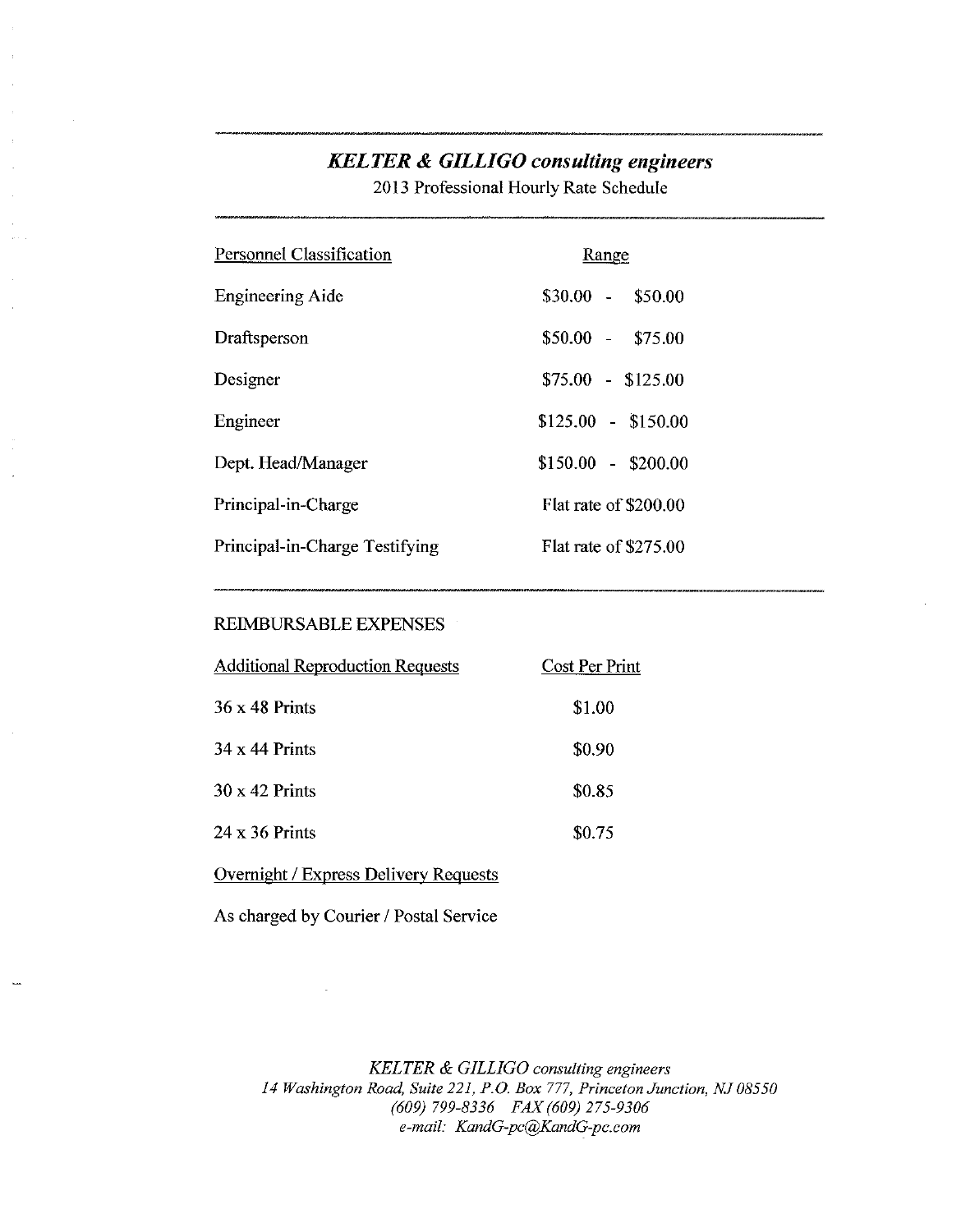## **KELTER & GILLIGO consulting engineers**

2013 Professional Hourly Rate Schedule

| <b>Personnel Classification</b> | Range                 |
|---------------------------------|-----------------------|
| <b>Engineering Aide</b>         | $$30.00 - $50.00$     |
| Draftsperson                    | $$50.00 - $75.00$     |
| Designer                        | $$75.00 - $125.00$    |
| Engineer                        | $$125.00 - $150.00$   |
| Dept. Head/Manager              | $$150.00 - $200.00$   |
| Principal-in-Charge             | Flat rate of \$200.00 |
| Principal-in-Charge Testifying  | Flat rate of \$275.00 |

#### REIMBURSABLE EXPENSES

| <b>Additional Reproduction Requests</b> | Cost Per Print |
|-----------------------------------------|----------------|
| 36 x 48 Prints                          | \$1.00         |
| 34 x 44 Prints                          | \$0.90         |
| 30 x 42 Prints                          | \$0.85         |
| 24 x 36 Prints                          | \$0.75         |

#### Overnight / Express Delivery Requests

As charged by Courier / Postal Service

KELTER & GILLIGO consulting engineers 14 Washington Road, Suite 221, P.O. Box 777, Princeton Junction, NJ 08550 (609) 799-8336 FAX (609) 275-9306 e-mail: KandG-pc@KandG-pc.com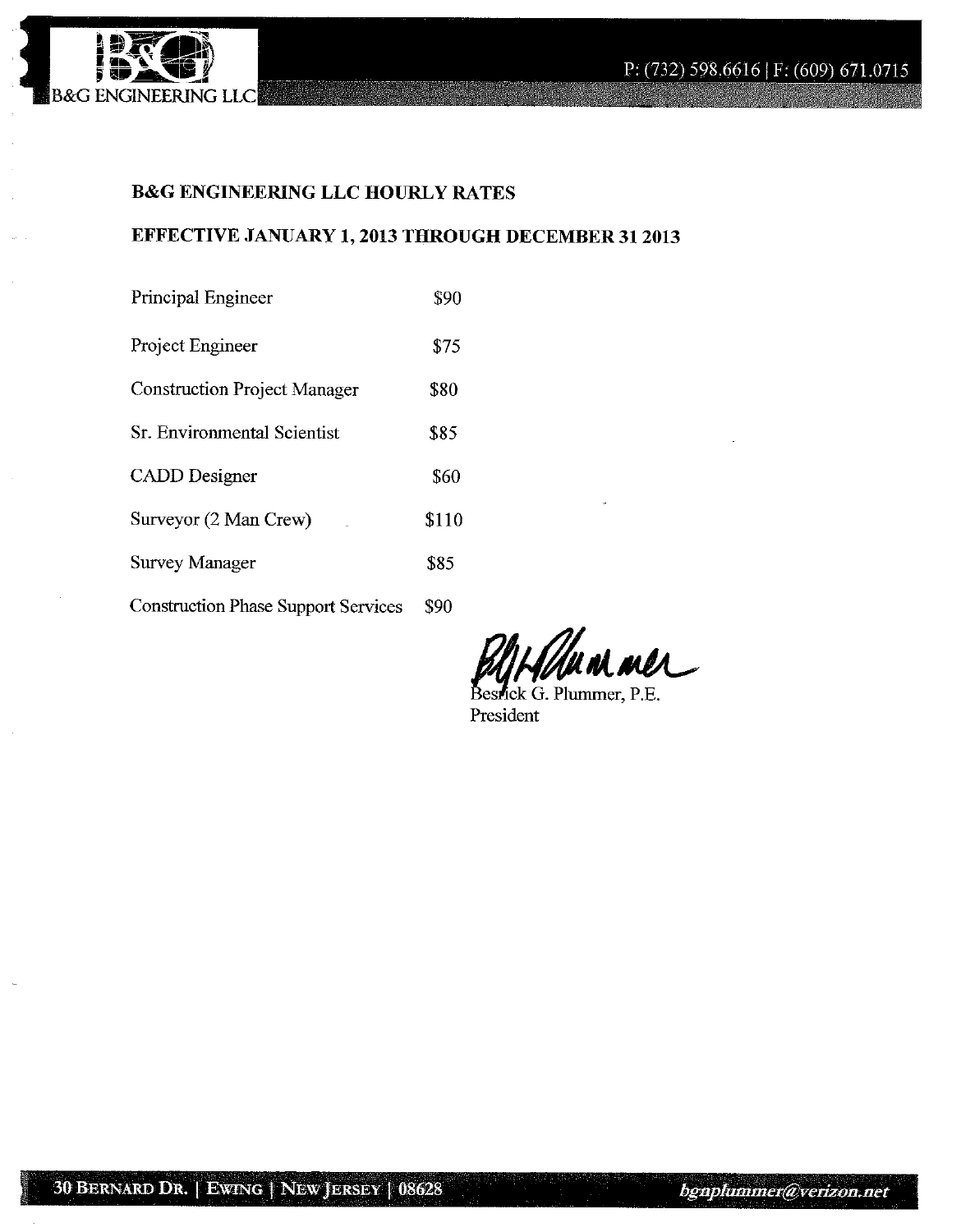

## **B&G ENGINEERING LLC HOURLY RATES**

## EFFECTIVE JANUARY 1, 2013 THROUGH DECEMBER 31 2013

| <b>Principal Engineer</b>                  | \$90  |
|--------------------------------------------|-------|
| Project Engineer                           | \$75  |
| <b>Construction Project Manager</b>        | \$80  |
| Sr. Environmental Scientist                | \$85  |
| <b>CADD</b> Designer                       | \$60  |
| Surveyor (2 Man Crew)                      | \$110 |
| Survey Manager                             | \$85  |
| <b>Construction Phase Support Services</b> | \$90  |

Holmmaner

Bestick G. Plummer, P.E. President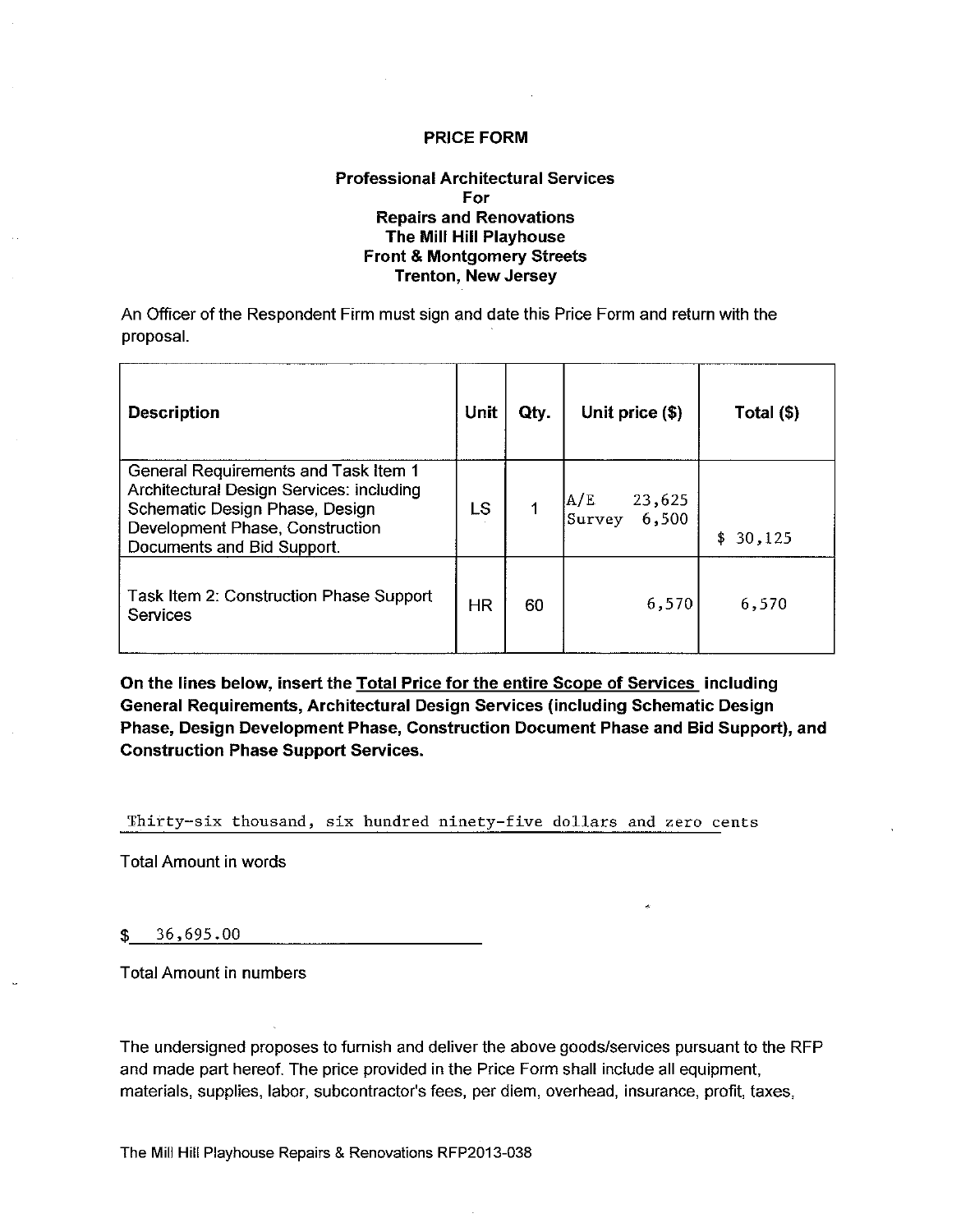#### **Professional Architectural Services** For **Repairs and Renovations** The Mill Hill Playhouse **Front & Montgomery Streets Trenton, New Jersey**

An Officer of the Respondent Firm must sign and date this Price Form and return with the proposal.

| <b>Description</b>                                                                                                                                                                  | Unit      | Qty. | Unit price (\$)                  | Total (\$)   |
|-------------------------------------------------------------------------------------------------------------------------------------------------------------------------------------|-----------|------|----------------------------------|--------------|
| General Requirements and Task Item 1<br>Architectural Design Services: including<br>Schematic Design Phase, Design<br>Development Phase, Construction<br>Documents and Bid Support. | LS        |      | A/E<br>23,625<br>6,500<br>Survey | \$<br>30,125 |
| Task Item 2: Construction Phase Support<br>Services                                                                                                                                 | <b>HR</b> | 60   | 6,570                            | 6,570        |

On the lines below, insert the Total Price for the entire Scope of Services including General Requirements, Architectural Design Services (including Schematic Design Phase, Design Development Phase, Construction Document Phase and Bid Support), and **Construction Phase Support Services.** 

Thirty-six thousand, six hundred ninety-five dollars and zero cents

**Total Amount in words** 

36,695.00 \$

**Total Amount in numbers** 

The undersigned proposes to furnish and deliver the above goods/services pursuant to the RFP and made part hereof. The price provided in the Price Form shall include all equipment, materials, supplies, labor, subcontractor's fees, per diem, overhead, insurance, profit, taxes,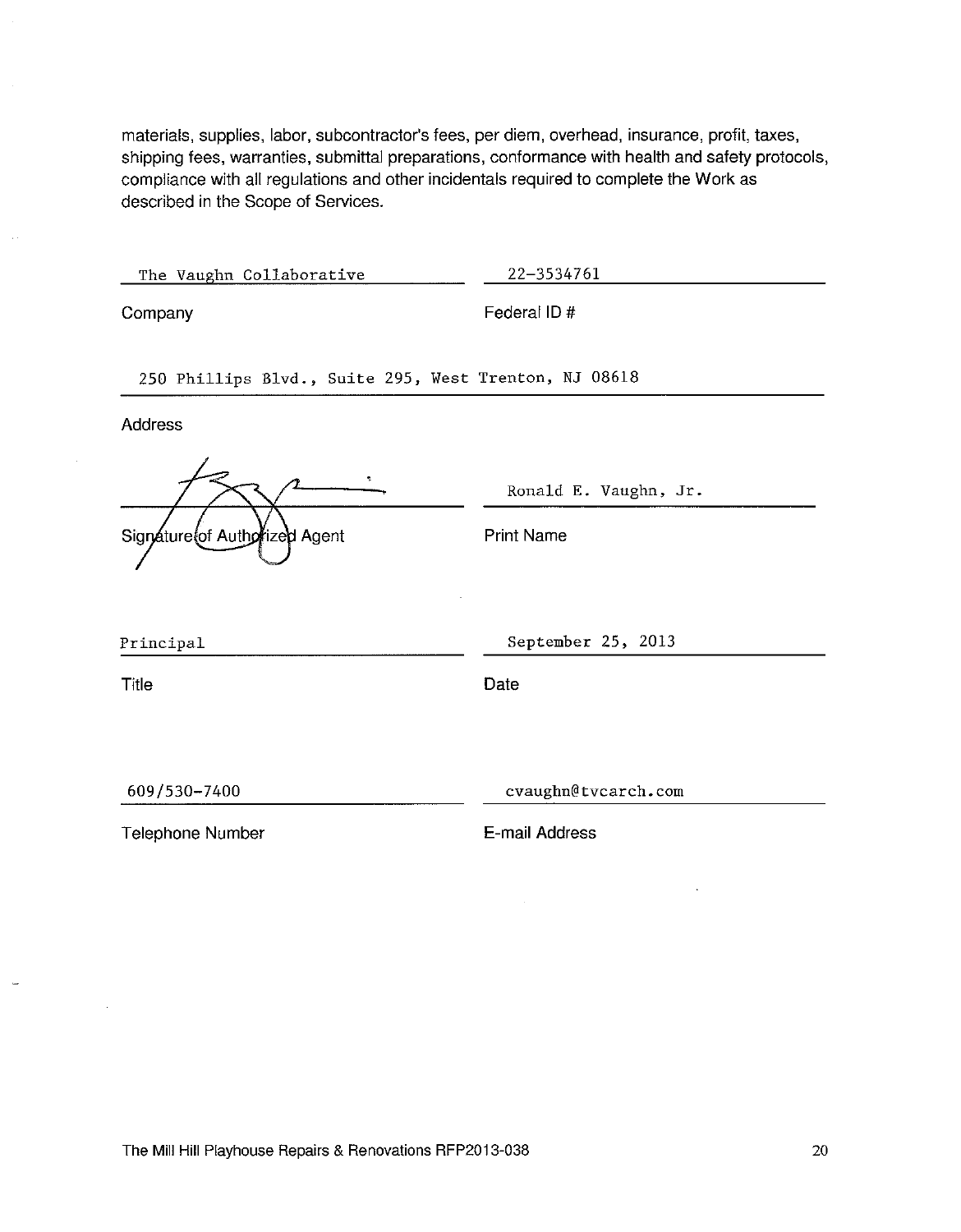materials, supplies, labor, subcontractor's fees, per diem, overhead, insurance, profit, taxes, shipping fees, warranties, submittal preparations, conformance with health and safety protocols, compliance with all regulations and other incidentals required to complete the Work as described in the Scope of Services.

 $\mathcal{L}_{\mathcal{L}}$ 

 $\sim$ 

| The Vaughn Collaborative                              | 22-3534761            |
|-------------------------------------------------------|-----------------------|
| Company                                               | Federal ID#           |
| 250 Phillips Blvd., Suite 295, West Trenton, NJ 08618 |                       |
| <b>Address</b>                                        |                       |
| ÷.                                                    | Ronald E. Vaughn, Jr. |
| Signature of Authorized Agent                         | <b>Print Name</b>     |
| Principal                                             | September 25, 2013    |
| Title                                                 | Date                  |
|                                                       |                       |
| 609/530-7400                                          | cvaughn@tvcarch.com   |
| <b>Telephone Number</b>                               | E-mail Address        |

 $\sim$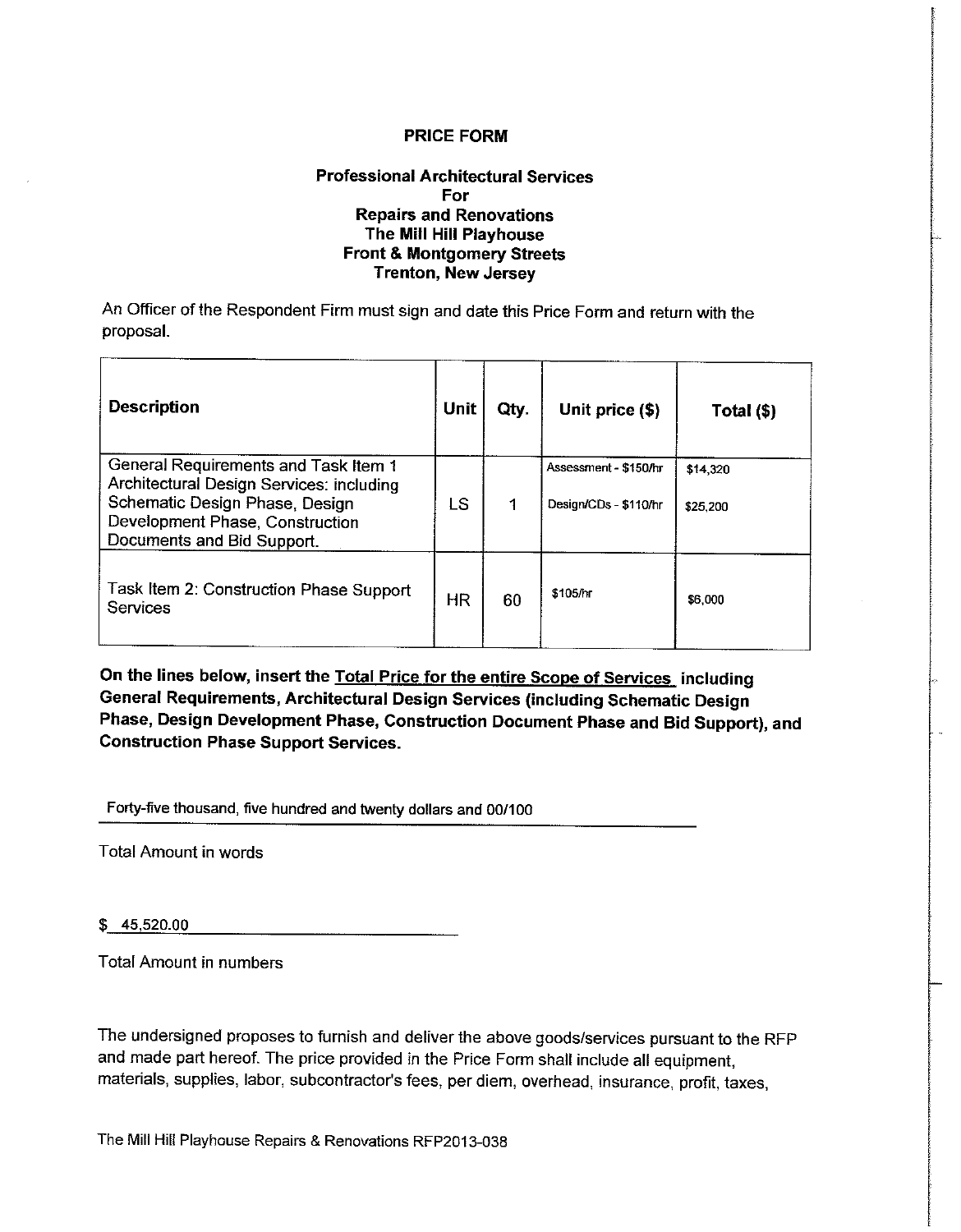#### **Professional Architectural Services** For **Repairs and Renovations** The Mill Hill Playhouse **Front & Montgomery Streets Trenton, New Jersey**

An Officer of the Respondent Firm must sign and date this Price Form and return with the proposal.

| <b>Description</b>                                                                                                                                                                  | Unit      | Qty. | Unit price (\$)                                | Total (\$)           |
|-------------------------------------------------------------------------------------------------------------------------------------------------------------------------------------|-----------|------|------------------------------------------------|----------------------|
| General Requirements and Task Item 1<br>Architectural Design Services: including<br>Schematic Design Phase, Design<br>Development Phase, Construction<br>Documents and Bid Support. | LS        |      | Assessment - \$150/hr<br>Design/CDs - \$110/hr | \$14,320<br>\$25,200 |
| Task Item 2: Construction Phase Support<br>Services                                                                                                                                 | <b>HR</b> | 60   | \$105/hr                                       | \$6,000              |

On the lines below, insert the Total Price for the entire Scope of Services including General Requirements, Architectural Design Services (including Schematic Design Phase, Design Development Phase, Construction Document Phase and Bid Support), and **Construction Phase Support Services.** 

Forty-five thousand, five hundred and twenty dollars and 00/100

**Total Amount in words** 

 $$45,520.00$ 

**Total Amount in numbers** 

The undersigned proposes to furnish and deliver the above goods/services pursuant to the RFP and made part hereof. The price provided in the Price Form shall include all equipment, materials, supplies, labor, subcontractor's fees, per diem, overhead, insurance, profit, taxes,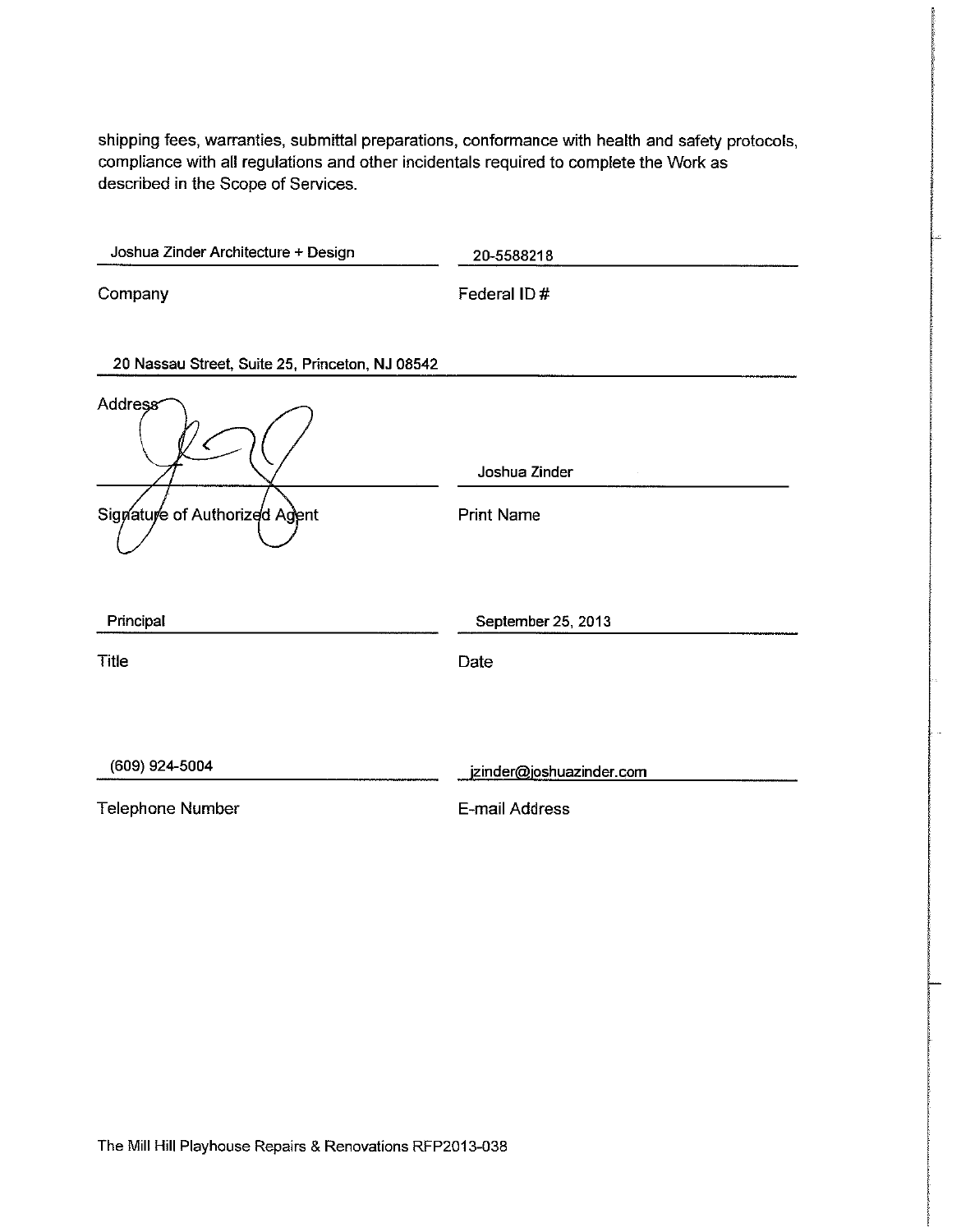shipping fees, warranties, submittal preparations, conformance with health and safety protocols, compliance with all regulations and other incidentals required to complete the Work as described in the Scope of Services.

| Joshua Zinder Architecture + Design             | 20-5588218                         |
|-------------------------------------------------|------------------------------------|
| Company                                         | Federal ID#                        |
| 20 Nassau Street, Suite 25, Princeton, NJ 08542 |                                    |
| Address<br>C<br>Signature of Authorized Agent   | Joshua Zinder<br><b>Print Name</b> |
| Principal                                       | September 25, 2013                 |
| <b>Title</b>                                    | Date                               |
| (609) 924-5004                                  | jzinder@joshuazinder.com           |
| <b>Telephone Number</b>                         | E-mail Address                     |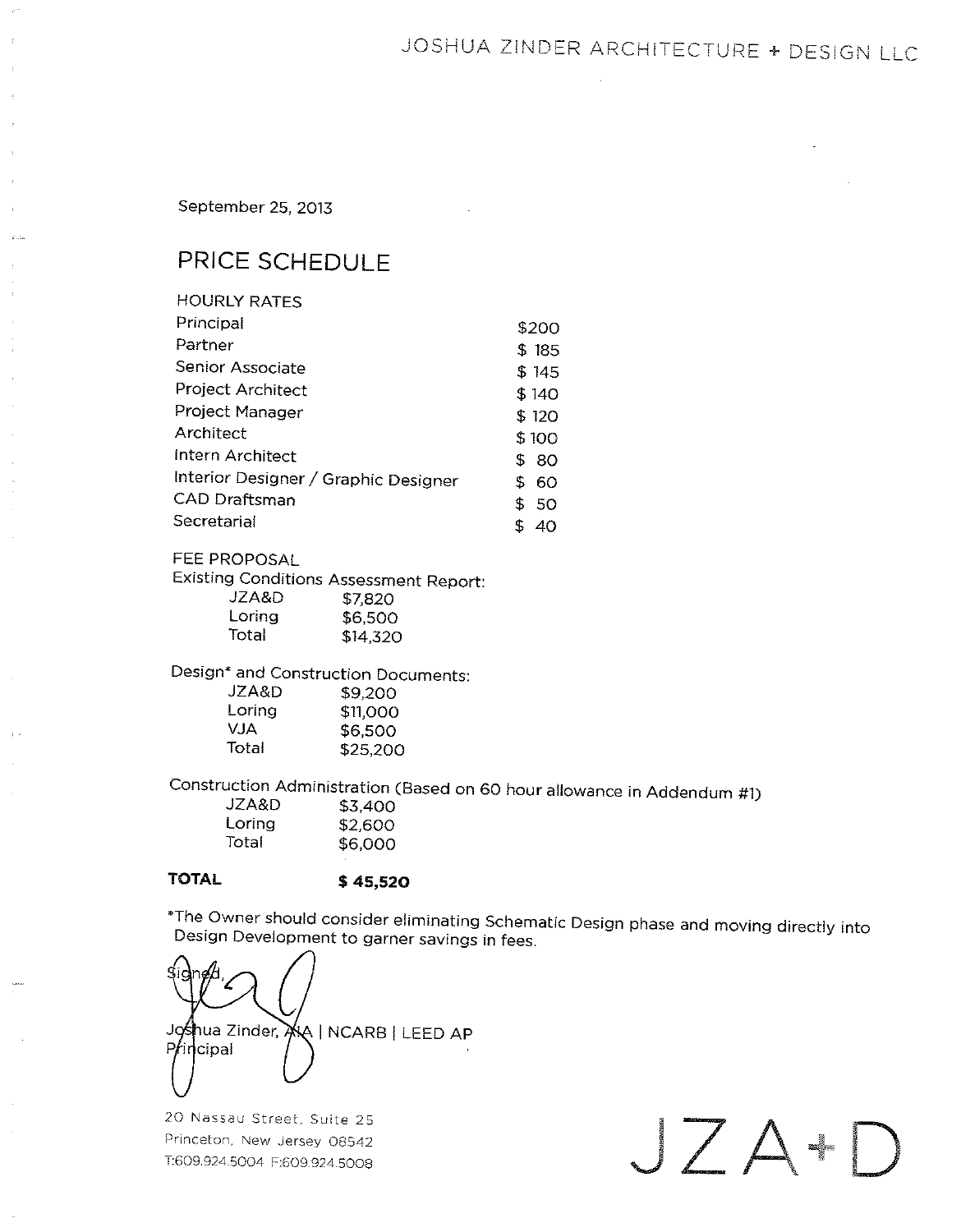## JOSHUA ZINDER ARCHITECTURE + DESIGN LLC

September 25, 2013

## PRICE SCHEDULE

| <b>HOURLY RATES</b>                  |    |        |
|--------------------------------------|----|--------|
| Principal                            |    | \$200  |
| Partner                              |    | \$185  |
| Senior Associate                     |    | \$ 145 |
| Project Architect                    |    | \$140  |
| Project Manager                      |    | \$120  |
| Architect                            |    | \$100  |
| Intern Architect                     | £. | -80    |
| Interior Designer / Graphic Designer | \$ | 60     |
| <b>CAD Draftsman</b>                 | \$ | 50     |
| Secretarial                          |    | 40     |

#### FEE PROPOSAL

**Existing Conditions Assessment Report:** 

| JZA&D  | \$7,820  |
|--------|----------|
| Loring | \$6.500  |
| Total  | \$14,320 |

## Design\* and Construction Documents:

| JZA&D  | \$9,200  |
|--------|----------|
| Loring | \$11,000 |
| VJA    | \$6.500  |
| Total  | \$25,200 |

Construction Administration (Based on 60 hour allowance in Addendum #1)

| JZA&D  | \$3.400 |
|--------|---------|
| Loring | \$2,600 |
| Total  | \$6,000 |
|        |         |

#### **TOTAL**

\$45,520

\*The Owner should consider eliminating Schematic Design phase and moving directly into Design Development to garner savings in fees.

Joshua Zinder, AA | NCARB | LEED AP  $Pf$ incipal

20 Nassau Street, Suite 25 Princeton, New Jersey 08542 T:609.924.5004 F:609.924.5008

JZA+D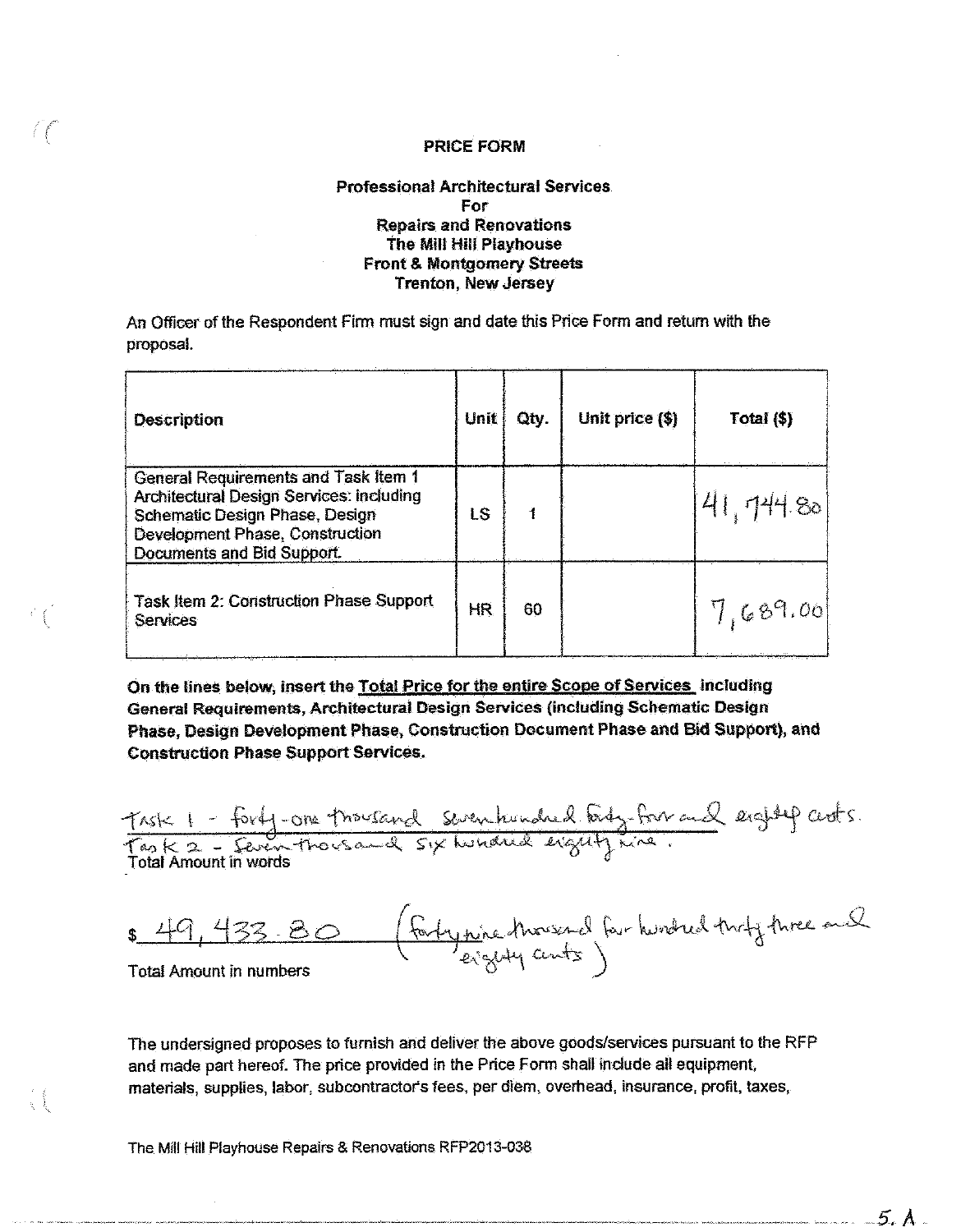#### **Professional Architectural Services** For **Repairs and Renovations** The Mill Hill Playhouse **Front & Montgomery Streets Trenton, New Jersey**

An Officer of the Respondent Firm must sign and date this Price Form and return with the proposal.

| <b>Description</b>                                                                                                                                                                                | Unit | Qty. | Unit price (\$) | Total (\$) |
|---------------------------------------------------------------------------------------------------------------------------------------------------------------------------------------------------|------|------|-----------------|------------|
| <b>General Requirements and Task Item 1</b><br><b>Architectural Design Services: Including</b><br>Schematic Design Phase, Design<br>Development Phase, Construction<br>Documents and Bid Support. | LS   |      |                 | 41, 744.80 |
| <b>Task Item 2: Construction Phase Support</b><br>Services                                                                                                                                        | HR.  | 60   |                 | 7,689.00   |

On the lines below, insert the Total Price for the entire Scope of Services including General Requirements, Architectural Design Services (including Schematic Design Phase, Design Development Phase, Construction Document Phase and Bid Support), and **Construction Phase Support Services.** 

Task 1 - forty-one thousand seven hundred forty-form and eighty cents. **Total Amount in words** 

(fortynine thousand four hundred thirty three and  $\frac{44}{9}$ **Total Amount in numbers** 

The undersigned proposes to furnish and deliver the above goods/services pursuant to the RFP and made part hereof. The price provided in the Price Form shall include all equipment, materials, supplies, labor, subcontractor's fees, per diem, overhead, insurance, profit, taxes,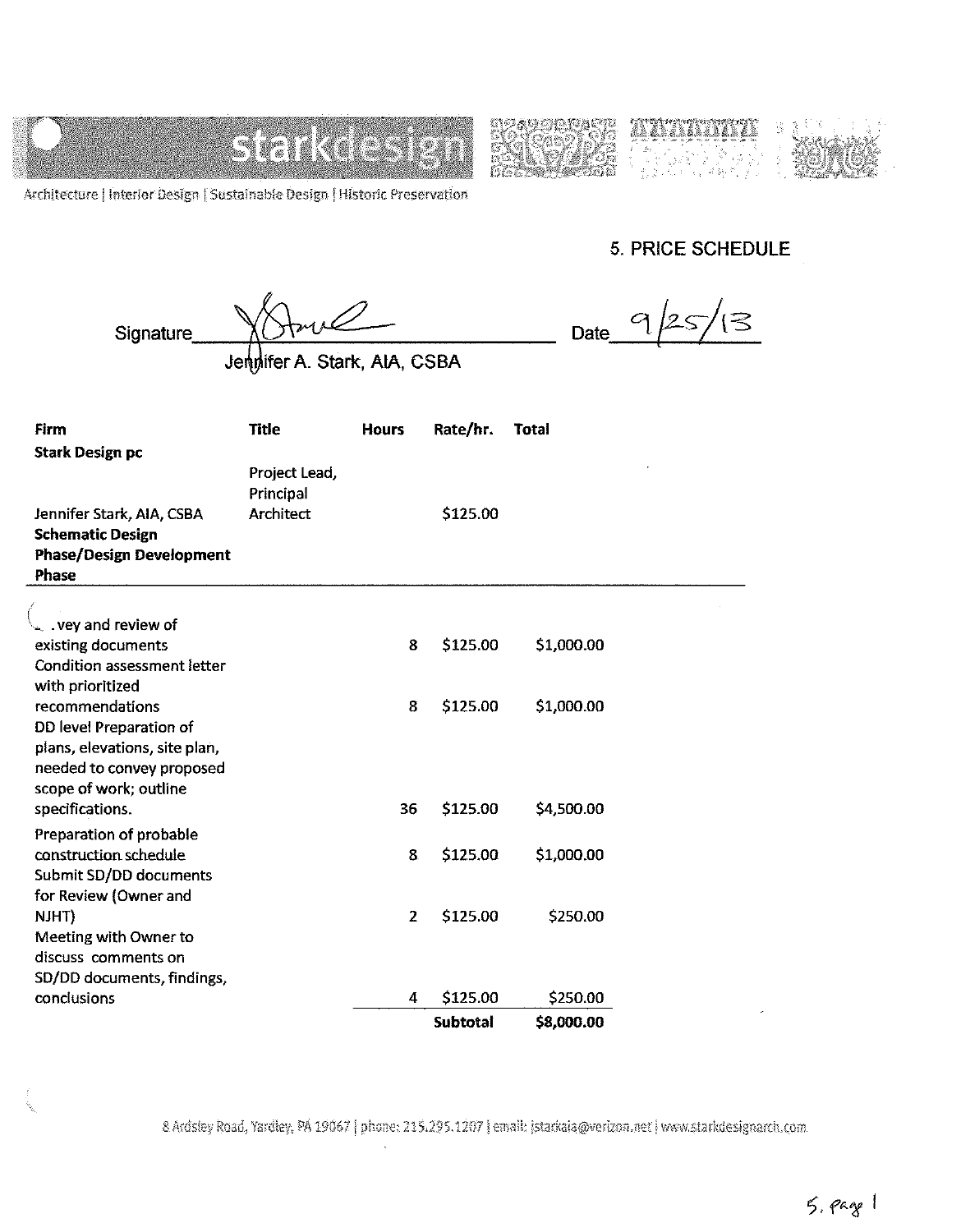







Architecture | Interior Design | Sustainable Design | Historic Preservation

**5. PRICE SCHEDULE** 

 $\sigma$ 

Date

 $\sqrt{3}$ 

Signature

Jenglifer A. Stark, AIA, CSBA

| Firm<br>Stark Design pc                                                                                                      | <b>Title</b>                            | <b>Hours</b>   | Rate/hr.        | <b>Total</b> |  |
|------------------------------------------------------------------------------------------------------------------------------|-----------------------------------------|----------------|-----------------|--------------|--|
| Jennifer Stark, AIA, CSBA<br><b>Schematic Design</b><br>Phase/Design Development<br>Phase                                    | Project Lead,<br>Principal<br>Architect |                | \$125.00        |              |  |
|                                                                                                                              |                                         |                |                 |              |  |
| . vey and review of<br>existing documents<br>Condition assessment letter                                                     |                                         | 8              | \$125.00        | \$1,000.00   |  |
| with prioritized<br>recommendations<br>DD level Preparation of<br>plans, elevations, site plan,<br>needed to convey proposed |                                         | 8              | \$125.00        | \$1,000.00   |  |
| scope of work; outline<br>specifications.                                                                                    |                                         | 36             | \$125.00        | \$4,500.00   |  |
| Preparation of probable<br>construction schedule<br>Submit SD/DD documents<br>for Review (Owner and                          |                                         | 8.             | \$125.00        | \$1,000.00   |  |
| NJHT)<br>Meeting with Owner to<br>discuss comments on                                                                        |                                         | $\overline{2}$ | \$125.00        | \$250.00     |  |
| SD/DD documents, findings,<br>conclusions                                                                                    |                                         | 4              | \$125.00        | \$250.00     |  |
|                                                                                                                              |                                         |                | <b>Subtotal</b> | \$8,000.00   |  |

8 Ardsley Road, Yardley, PA 19067 | phone: 215.295.1207 | email: istarkaia@verizon.net | www.starkdesignarch.com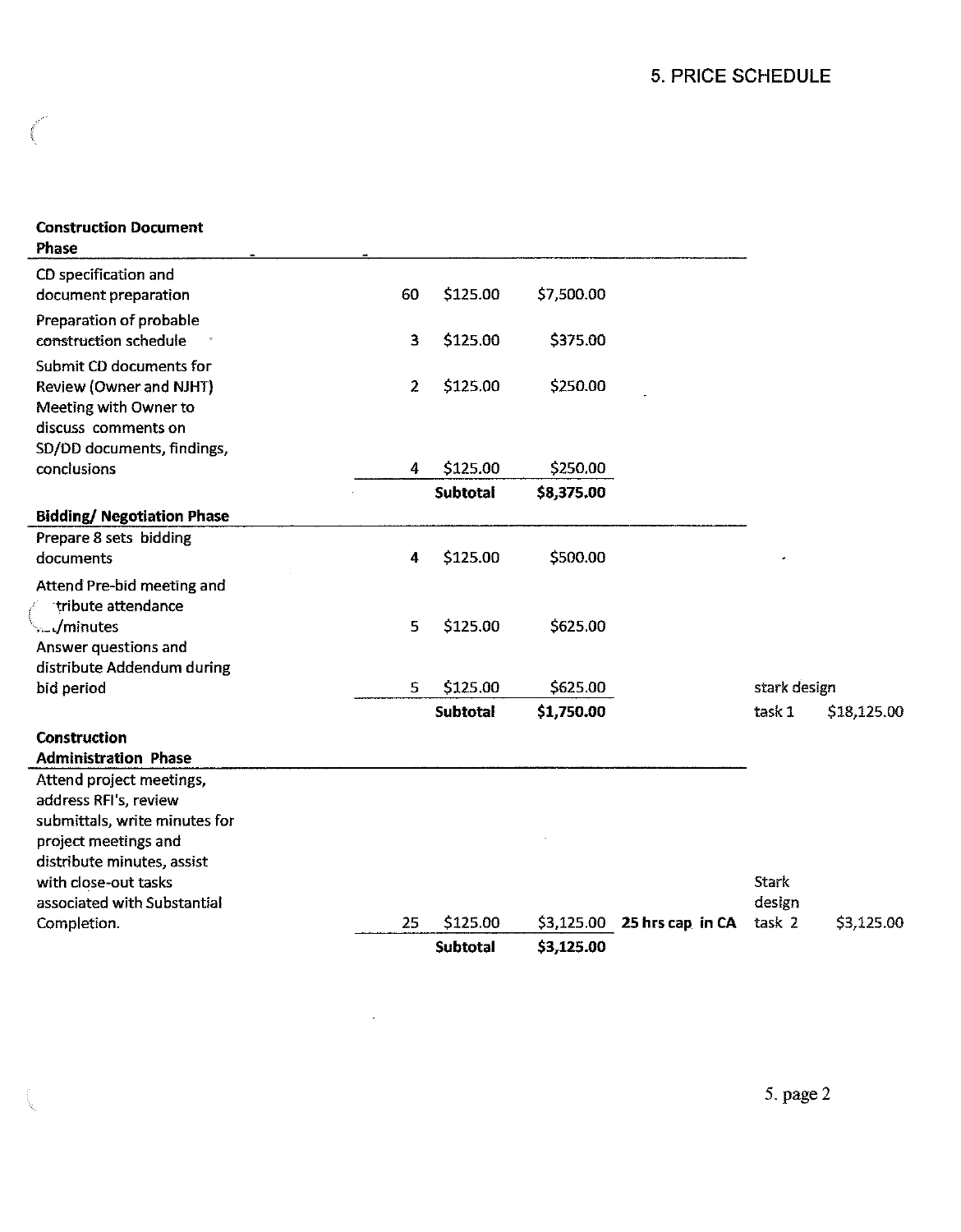### **Construction Document** Phase

| 25 | \$125.00          | \$3,125.00           | 25 hrs cap in CA     | task 2       | \$3,125.00  |
|----|-------------------|----------------------|----------------------|--------------|-------------|
|    |                   |                      |                      |              |             |
|    |                   |                      |                      | design       |             |
|    |                   |                      |                      | Stark        |             |
|    |                   |                      |                      |              |             |
|    |                   |                      |                      |              |             |
|    |                   |                      |                      |              |             |
|    |                   |                      |                      |              |             |
|    |                   |                      |                      |              |             |
|    |                   |                      |                      |              |             |
|    |                   |                      |                      |              |             |
|    | <b>Subtotal</b>   | \$1,750.00           |                      | task 1       | \$18,125.00 |
| 5. | \$125.00          | \$625.00             |                      | stark design |             |
|    |                   |                      |                      |              |             |
|    |                   |                      |                      |              |             |
| 5  | \$125.00          | \$625.00             |                      |              |             |
|    |                   |                      |                      |              |             |
|    |                   |                      |                      |              |             |
|    |                   |                      |                      |              |             |
|    |                   |                      |                      |              |             |
|    | <b>Subtotal</b>   | \$8,375.00           |                      |              |             |
| 4  | \$125.00          | \$250.00             |                      |              |             |
|    |                   |                      |                      |              |             |
|    |                   |                      |                      |              |             |
|    |                   |                      |                      |              |             |
|    |                   |                      |                      |              |             |
| 3  | \$125.00          | \$375.00             |                      |              |             |
| 60 | \$125.00          | \$7,500.00           |                      |              |             |
|    | $\mathbf{2}$<br>4 | \$125.00<br>\$125.00 | \$250.00<br>\$500.00 |              |             |

i.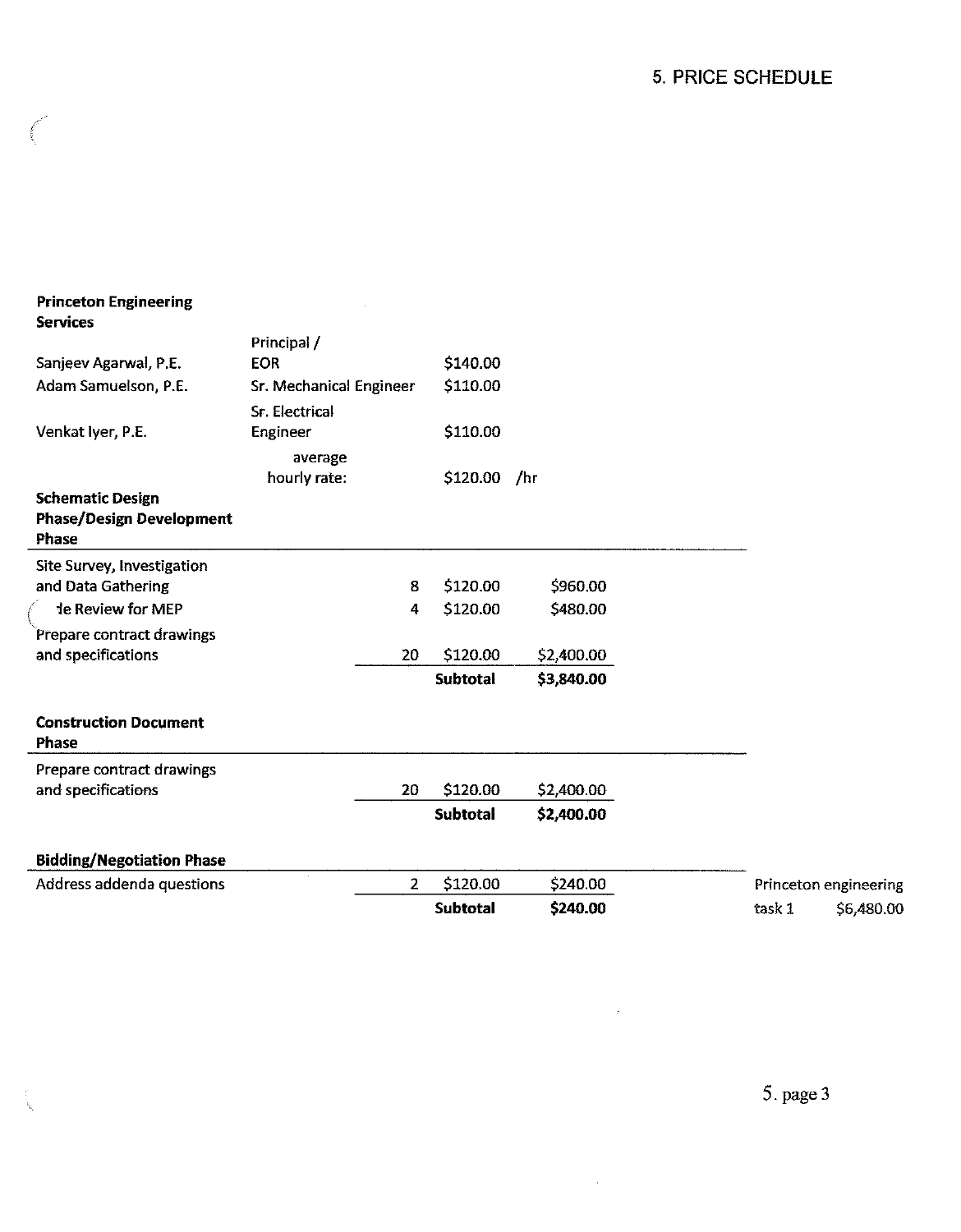| <b>Princeton Engineering</b><br><b>Services</b> |                                |                 |            |                       |
|-------------------------------------------------|--------------------------------|-----------------|------------|-----------------------|
|                                                 | Principal /                    |                 |            |                       |
| Sanjeev Agarwal, P.E.                           | <b>EOR</b>                     | \$140.00        |            |                       |
| Adam Samuelson, P.E.                            | <b>Sr. Mechanical Engineer</b> | \$110.00        |            |                       |
|                                                 | Sr. Electrical                 |                 |            |                       |
| Venkat Iyer, P.E.                               | Engineer                       | \$110.00        |            |                       |
|                                                 | average                        |                 |            |                       |
|                                                 | hourly rate:                   | \$120.00 /hr    |            |                       |
| <b>Schematic Design</b>                         |                                |                 |            |                       |
| <b>Phase/Design Development</b><br>Phase        |                                |                 |            |                       |
| Site Survey, Investigation                      |                                |                 |            |                       |
| and Data Gathering                              | 8                              | \$120.00        | \$960.00   |                       |
| te Review for MEP                               | 4                              | \$120.00        | \$480.00   |                       |
| Prepare contract drawings                       |                                |                 |            |                       |
| and specifications                              | 20                             | \$120.00        | \$2,400.00 |                       |
|                                                 |                                | <b>Subtotal</b> | \$3,840.00 |                       |
| <b>Construction Document</b>                    |                                |                 |            |                       |
| <b>Phase</b>                                    |                                |                 |            |                       |
| Prepare contract drawings                       |                                |                 |            |                       |
| and specifications                              | 20                             | \$120.00        | \$2,400.00 |                       |
|                                                 |                                | <b>Subtotal</b> | \$2,400.00 |                       |
| <b>Bidding/Negotiation Phase</b>                |                                |                 |            |                       |
| Address addenda questions                       | 2 <sup>1</sup>                 | \$120.00        | \$240.00   | Princeton engineering |
|                                                 |                                | <b>Subtotal</b> | \$240.00   | task 1<br>\$6,480.00  |

 $\sim 10^{-10}$ 

 $\sim 10^{-1}$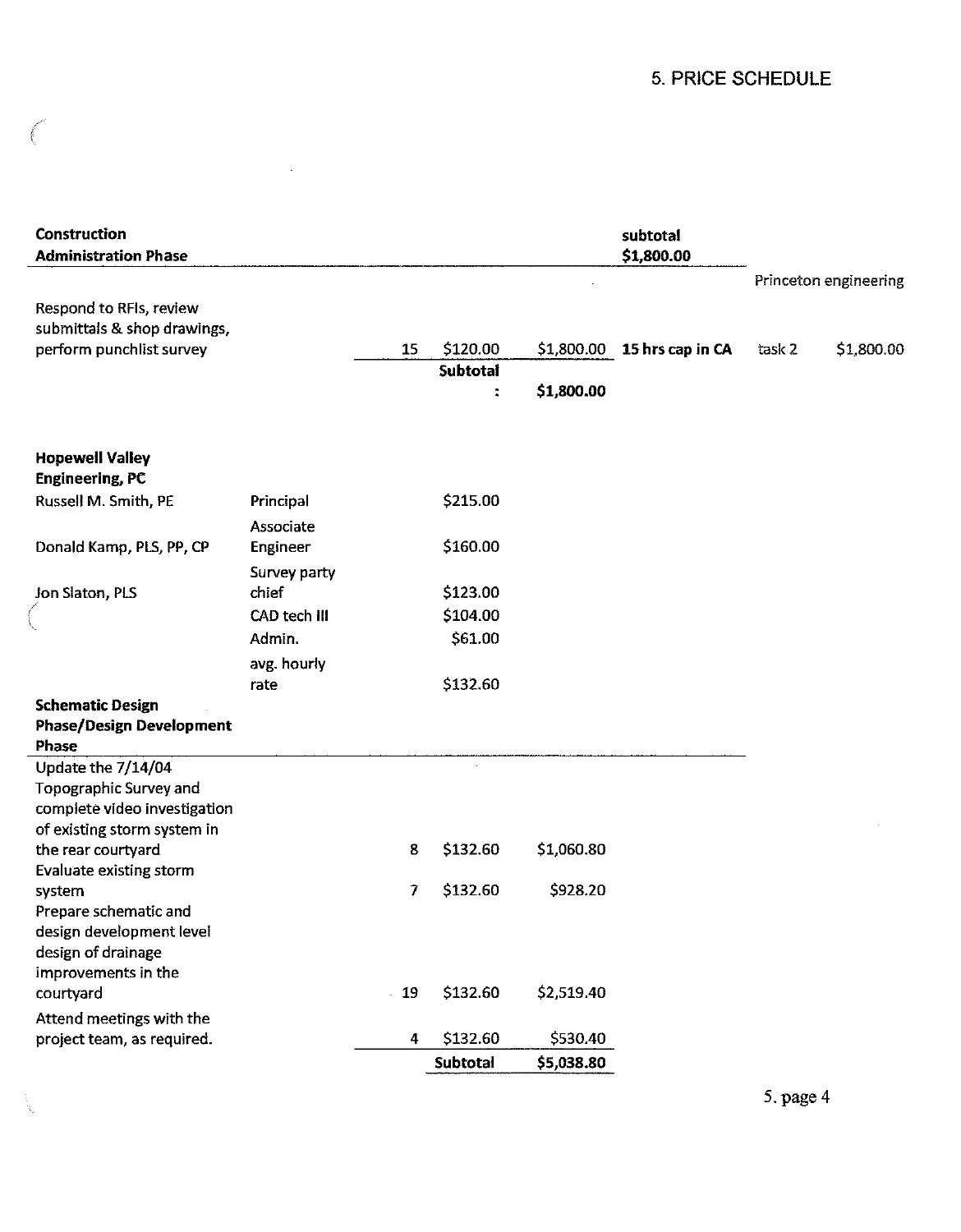## 5. PRICE SCHEDULE

| Construction<br><b>Administration Phase</b>                 |              |       |                             |            | subtotal<br>\$1,800.00      |        |                       |
|-------------------------------------------------------------|--------------|-------|-----------------------------|------------|-----------------------------|--------|-----------------------|
|                                                             |              |       |                             |            |                             |        | Princeton engineering |
| Respond to RFIs, review<br>submittals & shop drawings,      |              |       |                             |            |                             |        |                       |
| perform punchlist survey                                    |              | 15    | \$120.00<br><b>Subtotal</b> |            | \$1,800.00 15 hrs cap in CA | task 2 | \$1,800.00            |
|                                                             |              |       | $\ddot{\phantom{a}}$        | \$1,800.00 |                             |        |                       |
|                                                             |              |       |                             |            |                             |        |                       |
| <b>Hopewell Valley</b>                                      |              |       |                             |            |                             |        |                       |
| <b>Engineering, PC</b>                                      |              |       |                             |            |                             |        |                       |
| Russell M. Smith, PE                                        | Principal    |       | \$215.00                    |            |                             |        |                       |
|                                                             | Associate    |       |                             |            |                             |        |                       |
| Donald Kamp, PLS, PP, CP                                    | Engineer     |       | \$160.00                    |            |                             |        |                       |
|                                                             | Survey party |       |                             |            |                             |        |                       |
| Jon Slaton, PLS                                             | chief        |       | \$123.00                    |            |                             |        |                       |
|                                                             | CAD tech III |       | \$104.00                    |            |                             |        |                       |
|                                                             | Admin.       |       | \$61.00                     |            |                             |        |                       |
|                                                             | avg. hourly  |       |                             |            |                             |        |                       |
|                                                             | rate         |       | \$132.60                    |            |                             |        |                       |
| <b>Schematic Design</b>                                     |              |       |                             |            |                             |        |                       |
| <b>Phase/Design Development</b>                             |              |       |                             |            |                             |        |                       |
| <b>Phase</b>                                                |              |       |                             |            |                             |        |                       |
| Update the 7/14/04                                          |              |       |                             |            |                             |        |                       |
| Topographic Survey and                                      |              |       |                             |            |                             |        |                       |
| complete video investigation<br>of existing storm system in |              |       |                             |            |                             |        |                       |
| the rear courtyard                                          |              | 8     | \$132.60                    | \$1,060.80 |                             |        |                       |
| Evaluate existing storm                                     |              |       |                             |            |                             |        |                       |
| system                                                      |              | 7     | \$132.60                    | \$928.20   |                             |        |                       |
| Prepare schematic and                                       |              |       |                             |            |                             |        |                       |
| design development level                                    |              |       |                             |            |                             |        |                       |
| design of drainage                                          |              |       |                             |            |                             |        |                       |
| improvements in the                                         |              |       |                             |            |                             |        |                       |
| courtyard                                                   |              | $-19$ | \$132.60                    | \$2,519.40 |                             |        |                       |
| Attend meetings with the                                    |              |       |                             |            |                             |        |                       |
| project team, as required.                                  |              | 4     | \$132.60                    | \$530.40   |                             |        |                       |
|                                                             |              |       | Subtotal                    | \$5,038.80 |                             |        |                       |

**College**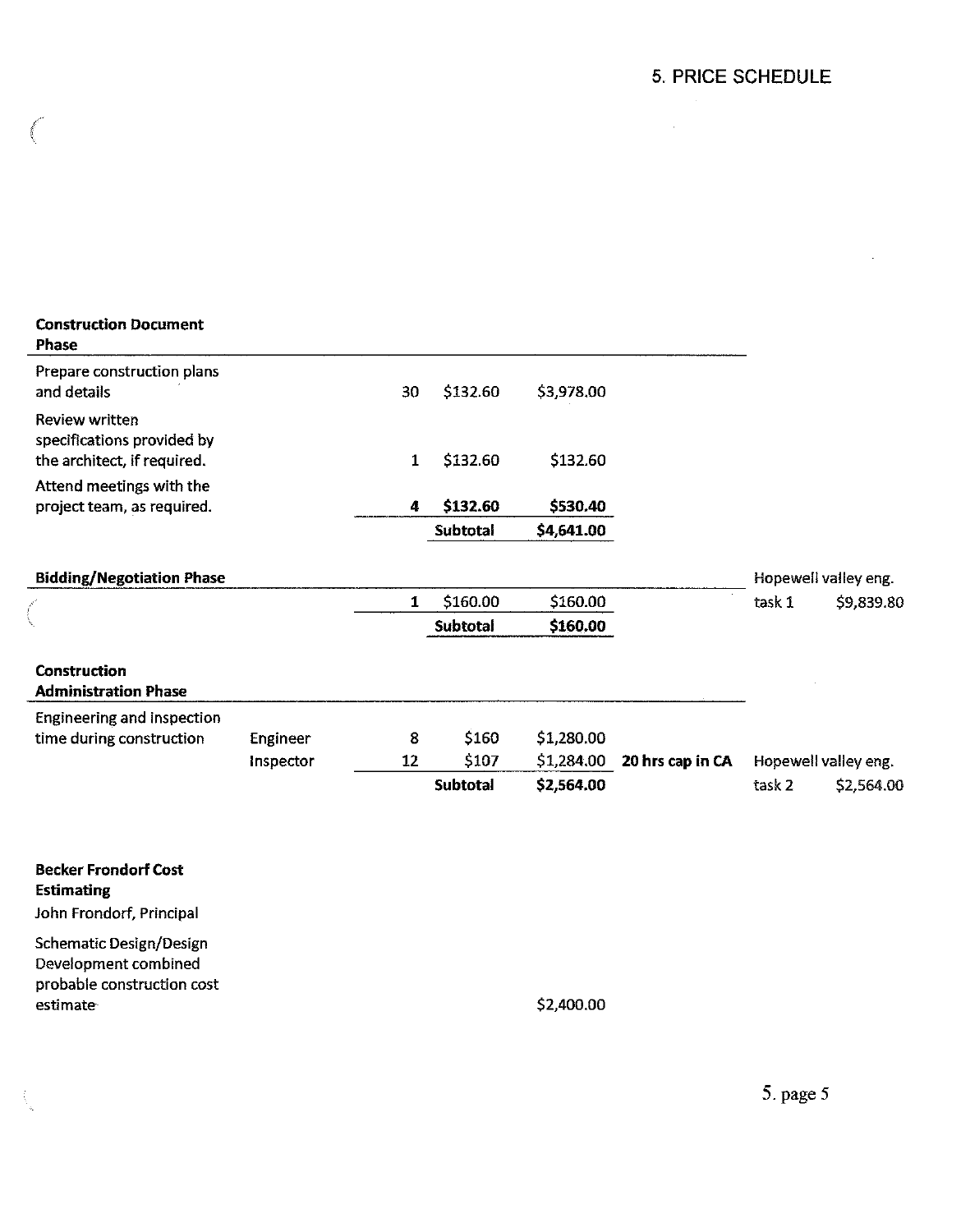$\mathcal{A}$ 

 $\label{eq:2.1} \frac{1}{\sqrt{2}}\left(\frac{1}{\sqrt{2}}\right)^{2} \left(\frac{1}{\sqrt{2}}\right)^{2} \left(\frac{1}{\sqrt{2}}\right)^{2} \left(\frac{1}{\sqrt{2}}\right)^{2} \left(\frac{1}{\sqrt{2}}\right)^{2} \left(\frac{1}{\sqrt{2}}\right)^{2} \left(\frac{1}{\sqrt{2}}\right)^{2} \left(\frac{1}{\sqrt{2}}\right)^{2} \left(\frac{1}{\sqrt{2}}\right)^{2} \left(\frac{1}{\sqrt{2}}\right)^{2} \left(\frac{1}{\sqrt{2}}\right)^{2} \left(\$ 

| <b>Construction Document</b><br>Phase                                        |           |              |                 |            |                  |                   |                      |
|------------------------------------------------------------------------------|-----------|--------------|-----------------|------------|------------------|-------------------|----------------------|
| Prepare construction plans<br>and details                                    |           | 30           | \$132.60        | \$3,978.00 |                  |                   |                      |
| Review written<br>specifications provided by<br>the architect, if required.  |           | $\mathbf{1}$ | \$132.60        | \$132.60   |                  |                   |                      |
| Attend meetings with the<br>project team, as required.                       |           | 4            | \$132.60        | \$530.40   |                  |                   |                      |
|                                                                              |           |              | <b>Subtotal</b> | \$4,641.00 |                  |                   |                      |
|                                                                              |           |              |                 |            |                  |                   |                      |
| <b>Bidding/Negotiation Phase</b>                                             |           |              |                 |            |                  |                   | Hopewell valley eng. |
|                                                                              |           | $\mathbf{1}$ | \$160.00        | \$160.00   |                  | task 1            | \$9,839.80           |
|                                                                              |           |              | Subtotal        | \$160.00   |                  |                   |                      |
| <b>Construction</b><br><b>Administration Phase</b>                           |           |              |                 |            |                  |                   |                      |
| Engineering and inspection                                                   |           |              |                 |            |                  |                   |                      |
| time during construction                                                     | Engineer  | 8            | \$160           | \$1,280.00 |                  |                   |                      |
|                                                                              | Inspector | 12           | \$107           | \$1,284.00 | 20 hrs cap in CA |                   | Hopewell valley eng. |
|                                                                              |           |              | Subtotal        | \$2,564.00 |                  | task <sub>2</sub> | \$2,564.00           |
|                                                                              |           |              |                 |            |                  |                   |                      |
| <b>Becker Frondorf Cost</b><br><b>Estimating</b><br>John Frondorf, Principal |           |              |                 |            |                  |                   |                      |
| <b>Schematic Design/Design</b>                                               |           |              |                 |            |                  |                   |                      |

Development combined probable construction cost estimate

 $\hat{\Lambda}_i$ 

f

\$2,400.00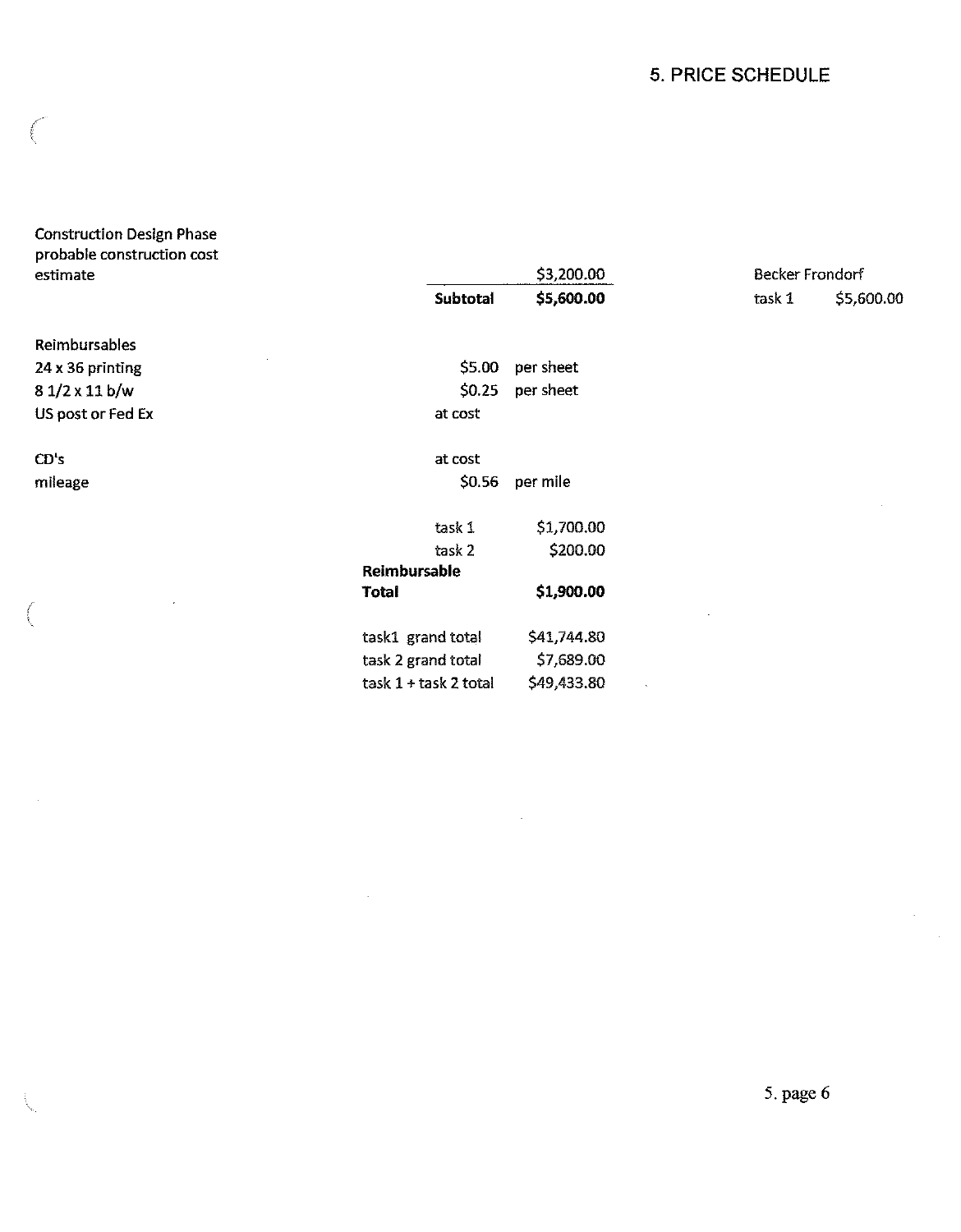## 5. PRICE SCHEDULE

| <b>Construction Design Phase</b><br>probable construction cost |                       |             |                 |            |
|----------------------------------------------------------------|-----------------------|-------------|-----------------|------------|
| estimate                                                       |                       | \$3,200.00  | Becker Frondorf |            |
|                                                                | Subtotal              | \$5,600.00  | task 1          | \$5,600.00 |
| Reimbursables                                                  |                       |             |                 |            |
| 24 x 36 printing                                               | \$5.00                | per sheet   |                 |            |
| $81/2 \times 11 b/w$                                           | \$0.25                | per sheet   |                 |            |
| US post or Fed Ex                                              | at cost               |             |                 |            |
| CD's                                                           | at cost               |             |                 |            |
| mileage                                                        | \$0.56                | per mile    |                 |            |
|                                                                | task 1                | \$1,700.00  |                 |            |
|                                                                | task 2                | \$200.00    |                 |            |
|                                                                | Reimbursable          |             |                 |            |
|                                                                | <b>Total</b>          | \$1,900.00  |                 |            |
|                                                                | task1 grand total     | \$41,744.80 |                 |            |
|                                                                | task 2 grand total    | \$7,689.00  |                 |            |
|                                                                | task 1 + task 2 total | \$49,433.80 |                 |            |

 $\overline{\phantom{a}}$ 

 $\bar{z}$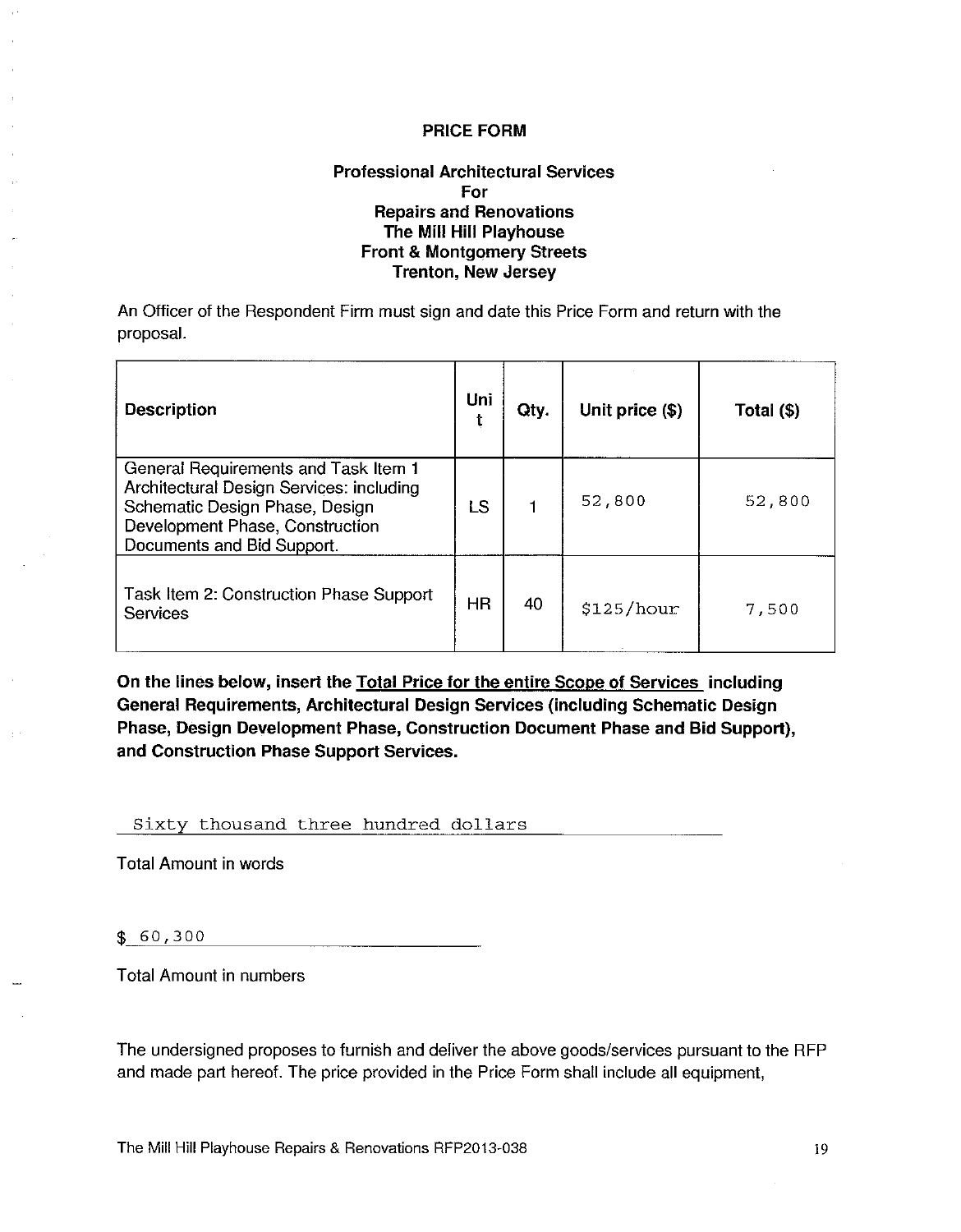#### **Professional Architectural Services** For **Repairs and Renovations** The Mill Hill Playhouse **Front & Montgomery Streets Trenton, New Jersey**

An Officer of the Respondent Firm must sign and date this Price Form and return with the proposal.

| <b>Description</b>                                                                                                                                                                  | Uni<br>t | Qty. | Unit price (\$) | Total (\$) |
|-------------------------------------------------------------------------------------------------------------------------------------------------------------------------------------|----------|------|-----------------|------------|
| General Requirements and Task Item 1<br>Architectural Design Services: including<br>Schematic Design Phase, Design<br>Development Phase, Construction<br>Documents and Bid Support. | LS       |      | 52,800          | 52,800     |
| Task Item 2: Construction Phase Support<br>Services                                                                                                                                 | HR       | 40   | \$125/hour      | 7,500      |

On the lines below, insert the Total Price for the entire Scope of Services including General Requirements, Architectural Design Services (including Schematic Design Phase, Design Development Phase, Construction Document Phase and Bid Support), and Construction Phase Support Services.

#### Sixty thousand three hundred dollars

**Total Amount in words** 

 $$60,300$ 

**Total Amount in numbers** 

The undersigned proposes to furnish and deliver the above goods/services pursuant to the RFP and made part hereof. The price provided in the Price Form shall include all equipment,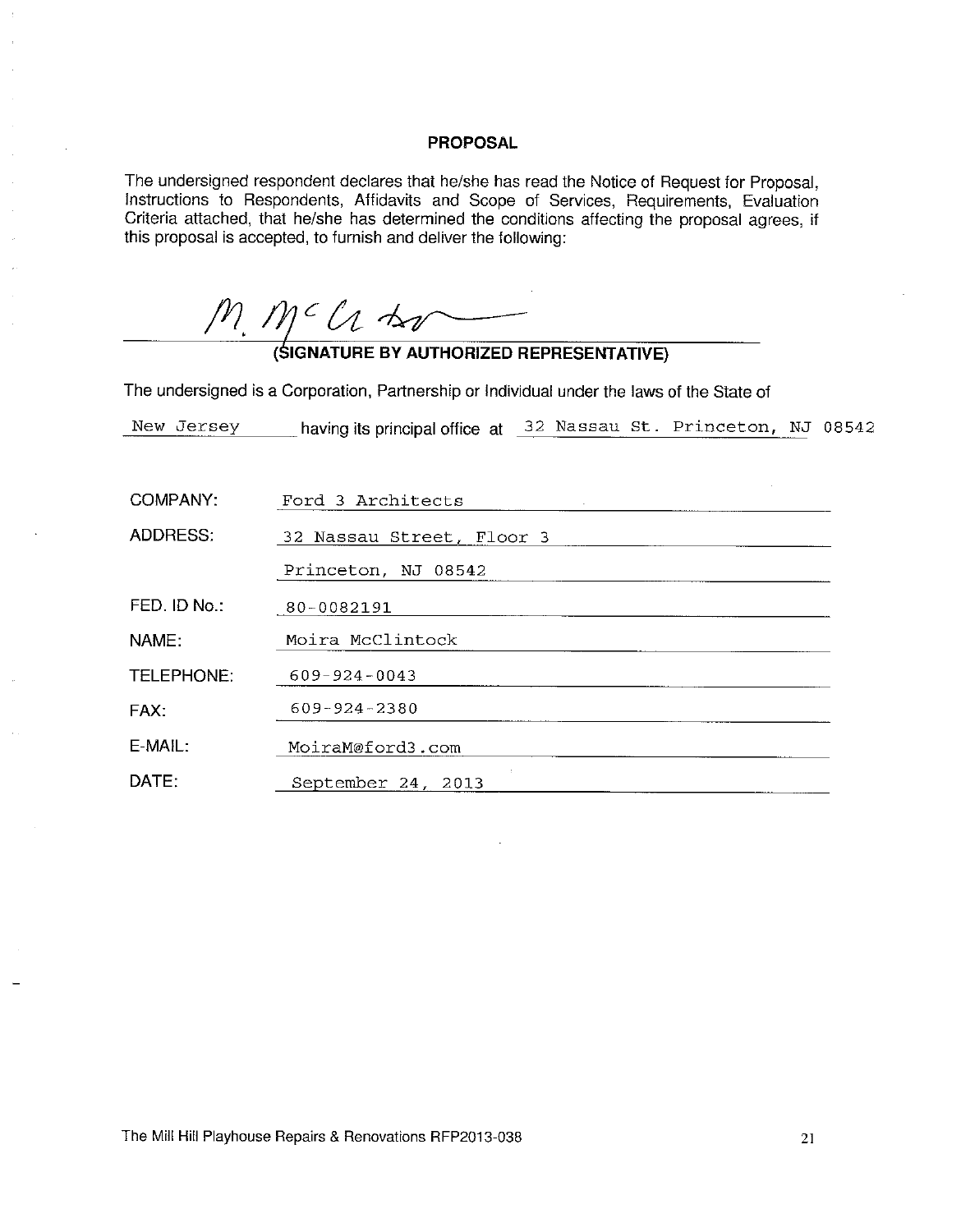#### **PROPOSAL**

The undersigned respondent declares that he/she has read the Notice of Request for Proposal, Instructions to Respondents, Affidavits and Scope of Services, Requirements, Evaluation Criteria attached, that he/she has determined the conditions affecting the proposal agrees, if this proposal is accepted, to furnish and deliver the following:

 $M_{1}M^{c}$  ( $A$   $M^{c}$   $M^{c}$  )  $M^{c}$  (SIGNATURE BY AUTHORIZED REPRESENTATIVE)

The undersigned is a Corporation, Partnership or Individual under the laws of the State of

New Jersey having its principal office at 32 Nassau St. Princeton, NJ 08542

| COMPANY:     | Ford 3 Architects         |
|--------------|---------------------------|
| ADDRESS:     | 32 Nassau Street, Floor 3 |
|              | Princeton, NJ 08542       |
| FED. ID No.: | 80-0082191                |
| NAME:        | Moira McClintock          |
| TELEPHONE:   | $609 - 924 - 0043$        |
| FAX:         | 609-924-2380              |
| E-MAIL:      | MoiraM@ford3.com          |
| DATE:        | September 24, 2013        |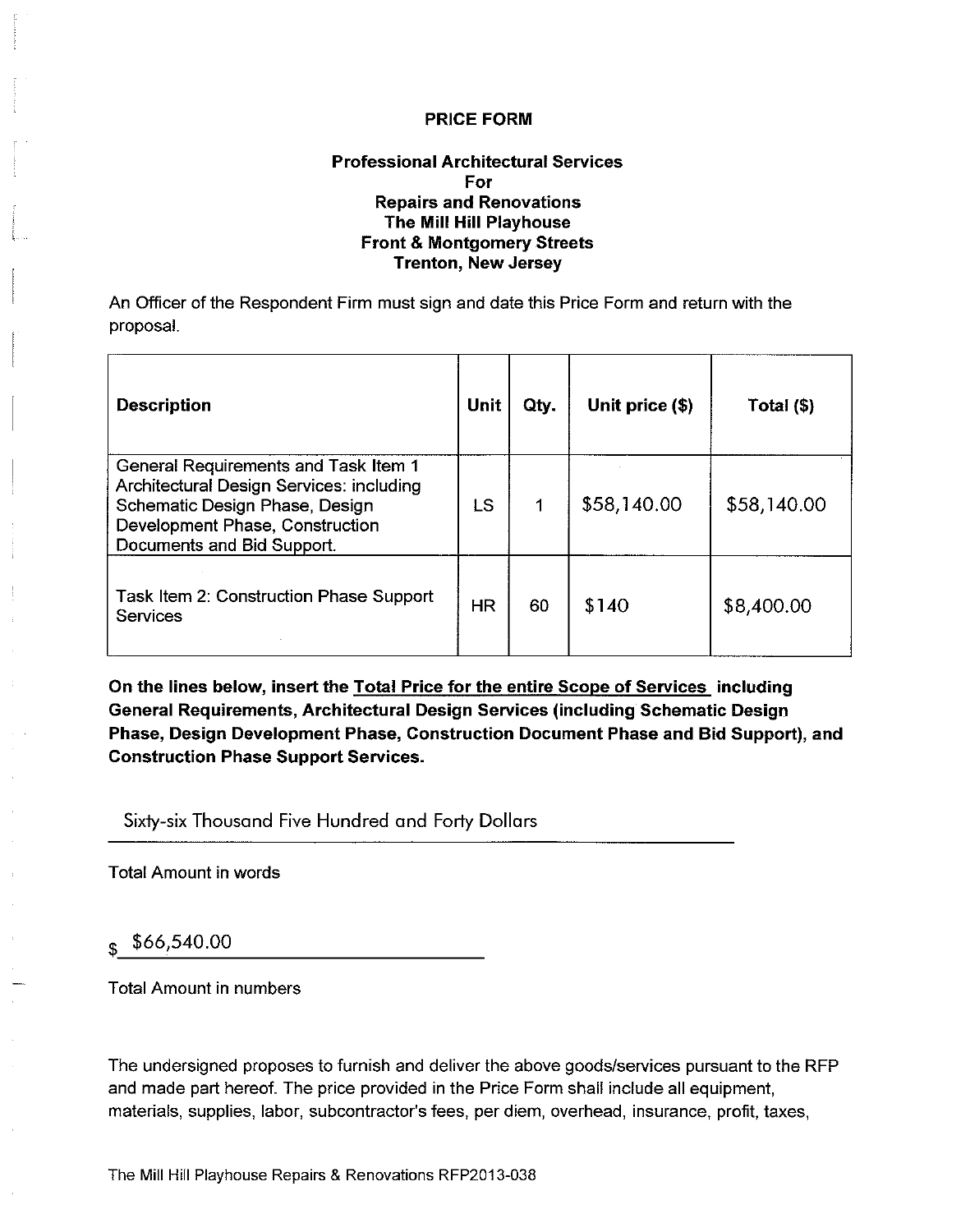#### **Professional Architectural Services** For **Repairs and Renovations** The Mill Hill Playhouse **Front & Montgomery Streets Trenton, New Jersey**

An Officer of the Respondent Firm must sign and date this Price Form and return with the proposal.

| <b>Description</b>                                                                                                                                                                  | Unit | Qty. | Unit price (\$) | Total (\$)  |
|-------------------------------------------------------------------------------------------------------------------------------------------------------------------------------------|------|------|-----------------|-------------|
| General Requirements and Task Item 1<br>Architectural Design Services: including<br>Schematic Design Phase, Design<br>Development Phase, Construction<br>Documents and Bid Support. | LS   |      | \$58,140.00     | \$58,140.00 |
| Task Item 2: Construction Phase Support<br>Services                                                                                                                                 | HR   | 60   | \$140           | \$8,400.00  |

On the lines below, insert the **Total Price for the entire Scope of Services** including General Requirements, Architectural Design Services (including Schematic Design Phase, Design Development Phase, Construction Document Phase and Bid Support), and **Construction Phase Support Services.** 

Sixty-six Thousand Five Hundred and Forty Dollars

**Total Amount in words** 

## $$66,540.00$

**Total Amount in numbers** 

The undersigned proposes to furnish and deliver the above goods/services pursuant to the RFP and made part hereof. The price provided in the Price Form shall include all equipment, materials, supplies, labor, subcontractor's fees, per diem, overhead, insurance, profit, taxes,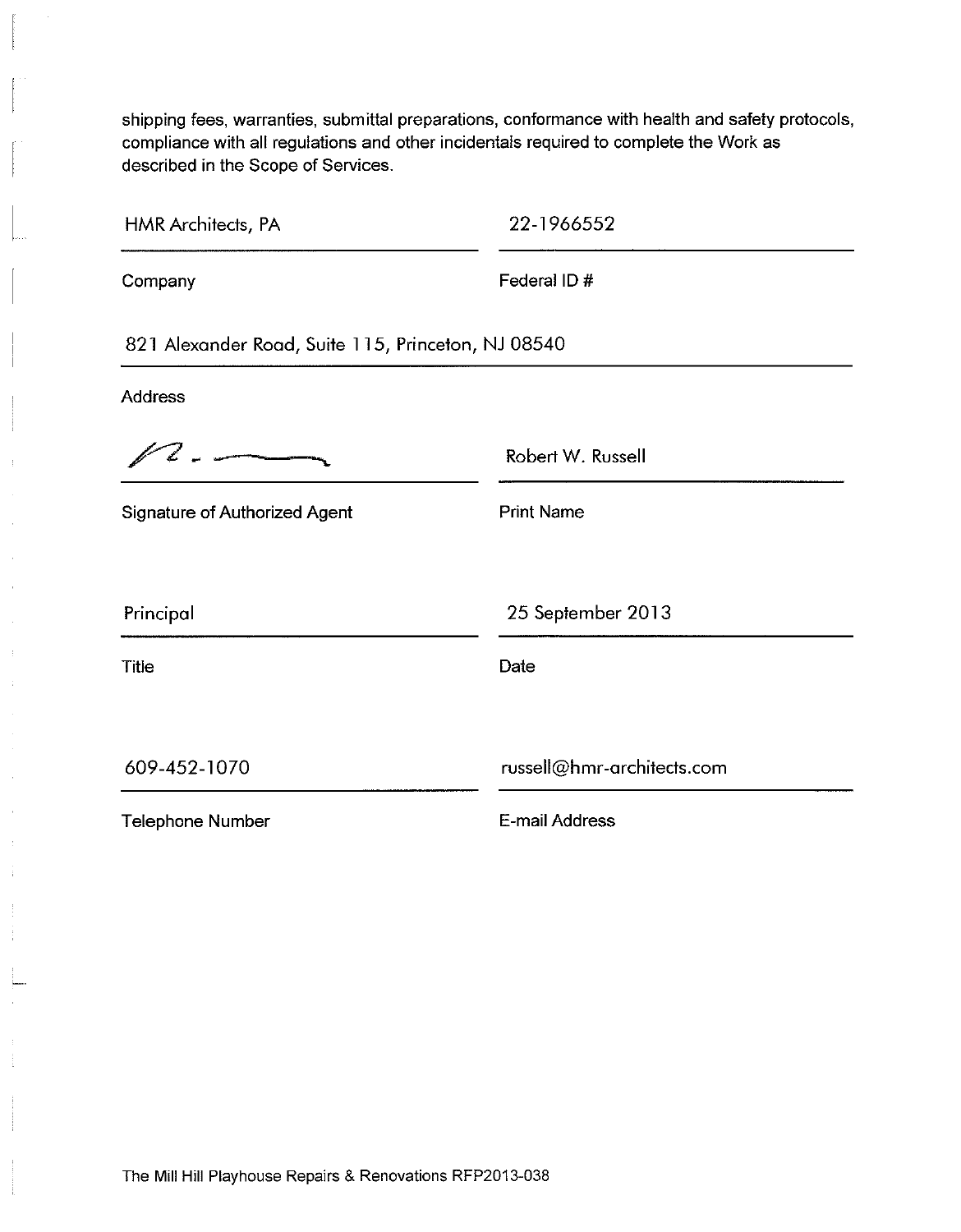shipping fees, warranties, submittal preparations, conformance with health and safety protocols, compliance with all regulations and other incidentals required to complete the Work as described in the Scope of Services.

| HMR Architects, PA                                 | 22-1966552                 |
|----------------------------------------------------|----------------------------|
| Company                                            | Federal ID#                |
| 821 Alexander Road, Suite 115, Princeton, NJ 08540 |                            |
| <b>Address</b>                                     |                            |
|                                                    | Robert W. Russell          |
| <b>Signature of Authorized Agent</b>               | <b>Print Name</b>          |
| Principal                                          | 25 September 2013          |
| <b>Title</b>                                       | Date                       |
| 609-452-1070                                       | russell@hmr-architects.com |
| <b>Telephone Number</b>                            | E-mail Address             |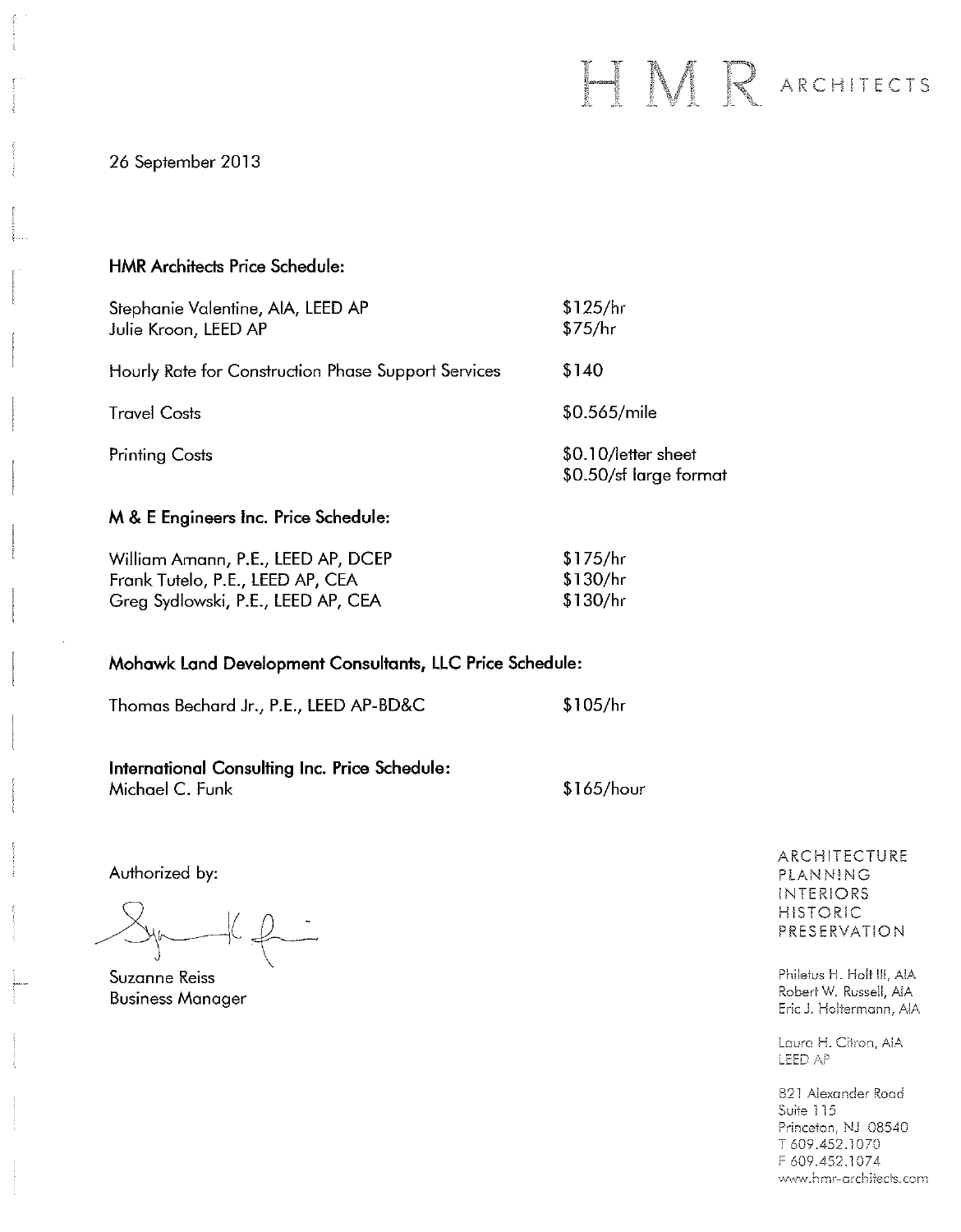# HMR ARCHITECTS

26 September 2013

#### **HMR Architects Price Schedule:**

| Stephanie Valentine, AIA, LEED AP<br>Julie Kroon, LEED AP | \$125/hr<br>\$75/hr                           |
|-----------------------------------------------------------|-----------------------------------------------|
| Hourly Rate for Construction Phase Support Services       | \$140                                         |
| <b>Travel Costs</b>                                       | \$0.565/mile                                  |
| <b>Printing Costs</b>                                     | \$0.10/letter sheet<br>\$0.50/sf large format |

#### M & E Engineers Inc. Price Schedule:

| William Amann, P.E., LEED AP, DCEP | \$175/hr  |  |  |
|------------------------------------|-----------|--|--|
| Frank Tutelo, P.E., LEED AP, CEA   | -\$130/hr |  |  |
| Greg Sydlowski, P.E., LEED AP, CEA | _\$130/հr |  |  |

#### Mohawk Land Development Consultants, LLC Price Schedule:

 $$105/hr$ Thomas Bechard Jr., P.E., LEED AP-BD&C

International Consulting Inc. Price Schedule: Michael C. Funk \$165/hour

Authorized by:

 $\frac{1}{2}$ 

Suzanne Reiss **Business Manager** 

ARCHITECTURE PLANNING INTERIORS **HISTORIC** PRESERVATION

Philetus H. Holt III, AIA Robert W. Russell, AIA Eric J. Holtermann, AIA

Laura H. Citron, AIA LEED AP

821 Alexander Road Suite 115 Princeton, NJ 08540 T 609.452.1070 F 609.452.1074 www.hmr-architects.com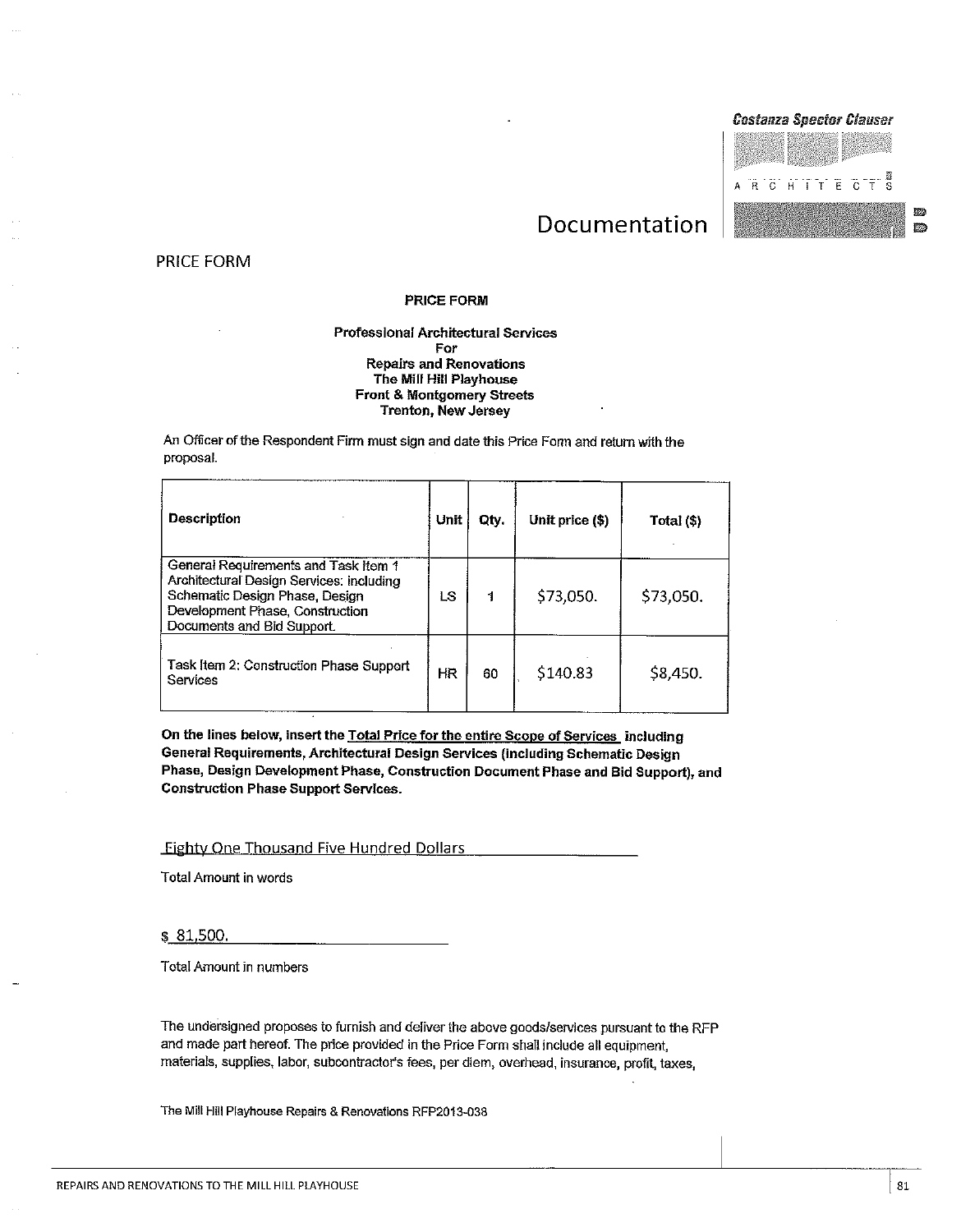#### **Costanza Spector Clauser**



動物

孫

## Documentation

PRICE FORM

#### **PRICE FORM**

#### **Professional Architectural Services** For **Repairs and Renovations** The Mill Hill Playhouse **Front & Montgomery Streets Trenton, New Jersey**

An Officer of the Respondent Firm must sign and date this Price Form and return with the proposal.

| Description                                                                                                                                                                         | Unit | Oty. | Unit price (\$) | Total (\$) |
|-------------------------------------------------------------------------------------------------------------------------------------------------------------------------------------|------|------|-----------------|------------|
| General Requirements and Task Item 1<br>Architectural Design Services: including<br>Schematic Design Phase, Design<br>Development Phase, Construction<br>Documents and Bid Support. | LS   | 1    | \$73,050.       | \$73,050.  |
| Task Item 2: Construction Phase Support<br>Services                                                                                                                                 | HR   | 60   | \$140.83        | \$8,450.   |

On the lines below, insert the Total Price for the entire Scope of Services including General Requirements, Architectural Design Services (including Schematic Design Phase, Design Development Phase, Construction Document Phase and Bid Support), and **Construction Phase Support Services.** 

**Eighty One Thousand Five Hundred Dollars** 

**Total Amount in words** 

\$81,500.

**Total Amount in numbers** 

The undersigned proposes to furnish and deliver the above goods/services pursuant to the RFP and made part hereof. The price provided in the Price Form shall include all equipment, materials, supplies, labor, subcontractor's fees, per diem, overhead, insurance, profit, taxes,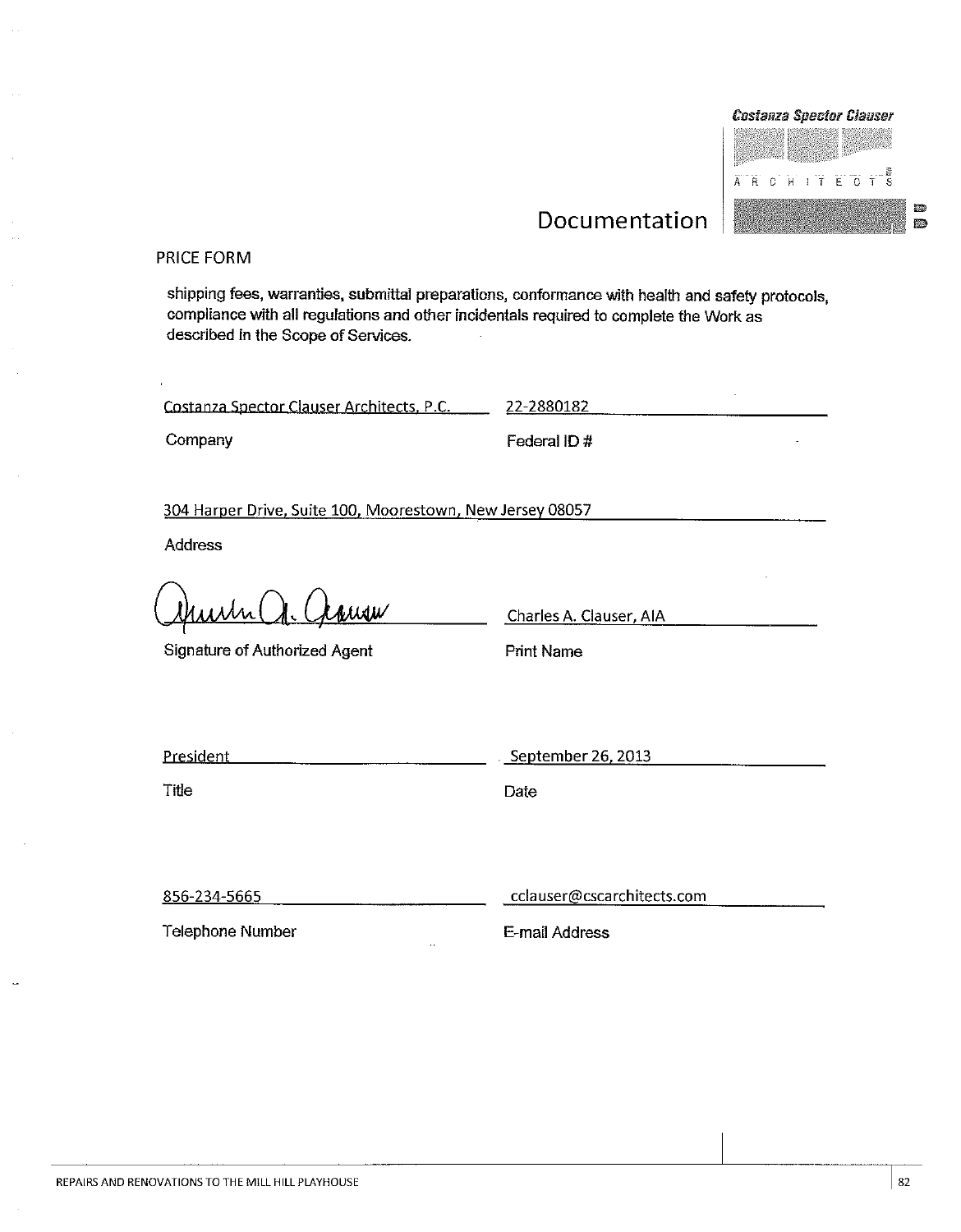

IWA.

**M** 

## Documentation

#### PRICE FORM

shipping fees, warranties, submittal preparations, conformance with health and safety protocols, compliance with all regulations and other incidentals required to complete the Work as described in the Scope of Services.

Costanza Spector Clauser Architects, P.C.

Company

Federal ID #

22-2880182

304 Harper Drive, Suite 100, Moorestown, New Jersey 08057

Address

ww

Signature of Authorized Agent

Charles A. Clauser, AIA

**Print Name** 

| <b>Drecident</b><br>$-$ | September 26, 2013<br>----<br>.<br>____<br>--<br>-- |
|-------------------------|-----------------------------------------------------|
|                         |                                                     |

Title

Date

856-234-5665

Telephone Number

cclauser@cscarchitects.com

E-mail Address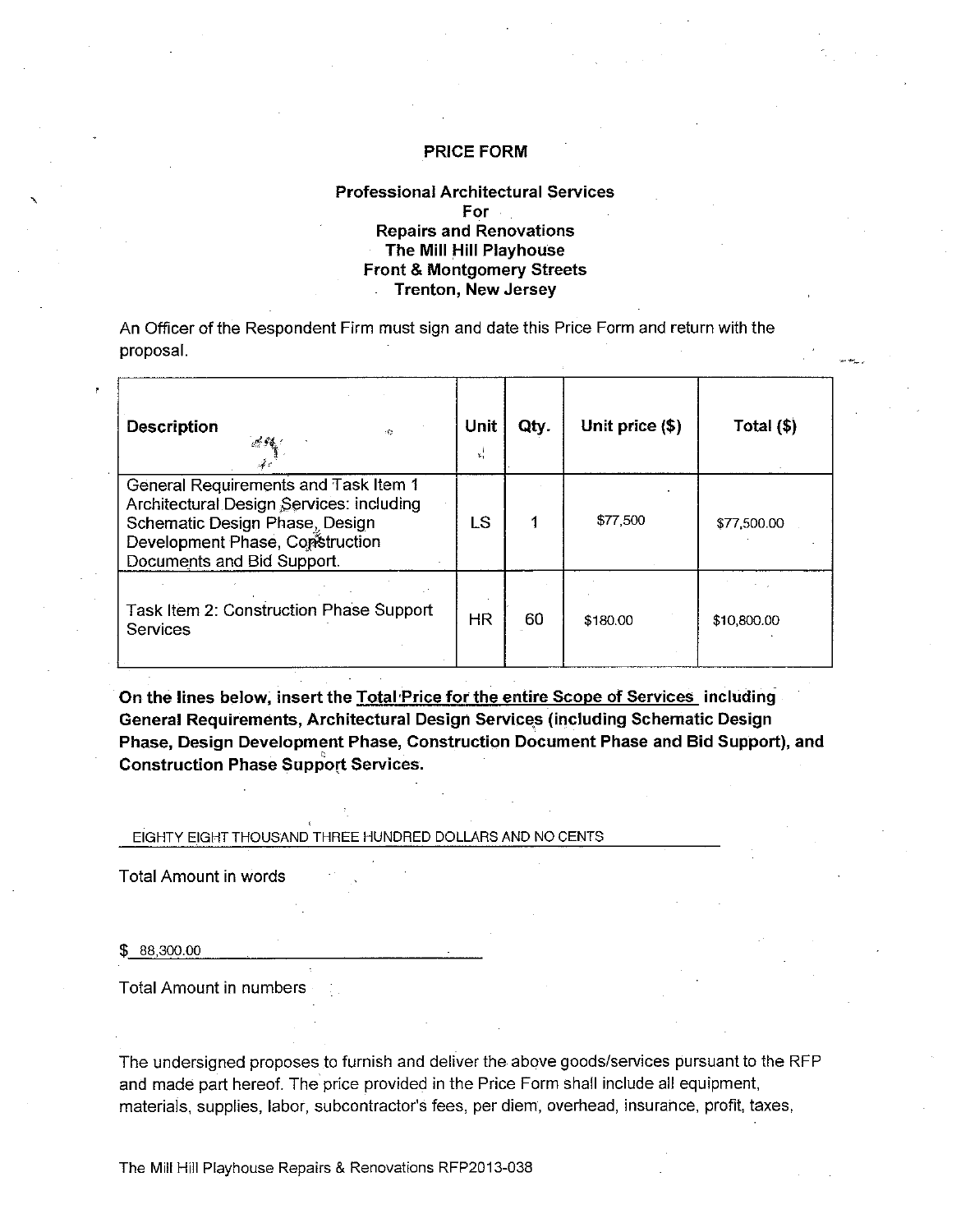#### **Professional Architectural Services**  $For$ **Repairs and Renovations** The Mill Hill Playhouse **Front & Montgomery Streets Trenton, New Jersey**

An Officer of the Respondent Firm must sign and date this Price Form and return with the proposal.

| <b>Description</b><br>1Ø.                                                                                                                                                           | Unit<br>x, | Qty. | Unit price (\$) | Total (\$)  |
|-------------------------------------------------------------------------------------------------------------------------------------------------------------------------------------|------------|------|-----------------|-------------|
| General Requirements and Task Item 1<br>Architectural Design Services: including<br>Schematic Design Phase, Design<br>Development Phase, Construction<br>Documents and Bid Support. | LS         |      | \$77,500        | \$77,500.00 |
| Task Item 2: Construction Phase Support<br><b>Services</b>                                                                                                                          | HR         | 60   | \$180.00        | \$10,800.00 |

On the lines below, insert the Total Price for the entire Scope of Services including General Requirements, Architectural Design Services (including Schematic Design Phase, Design Development Phase, Construction Document Phase and Bid Support), and **Construction Phase Support Services.** 

EIGHTY EIGHT THOUSAND THREE HUNDRED DOLLARS AND NO CENTS

**Total Amount in words** 

 $$88,300.00$ 

**Total Amount in numbers** 

The undersigned proposes to furnish and deliver the above goods/services pursuant to the RFP and made part hereof. The price provided in the Price Form shall include all equipment, materials, supplies, labor, subcontractor's fees, per diem, overhead, insurance, profit, taxes,